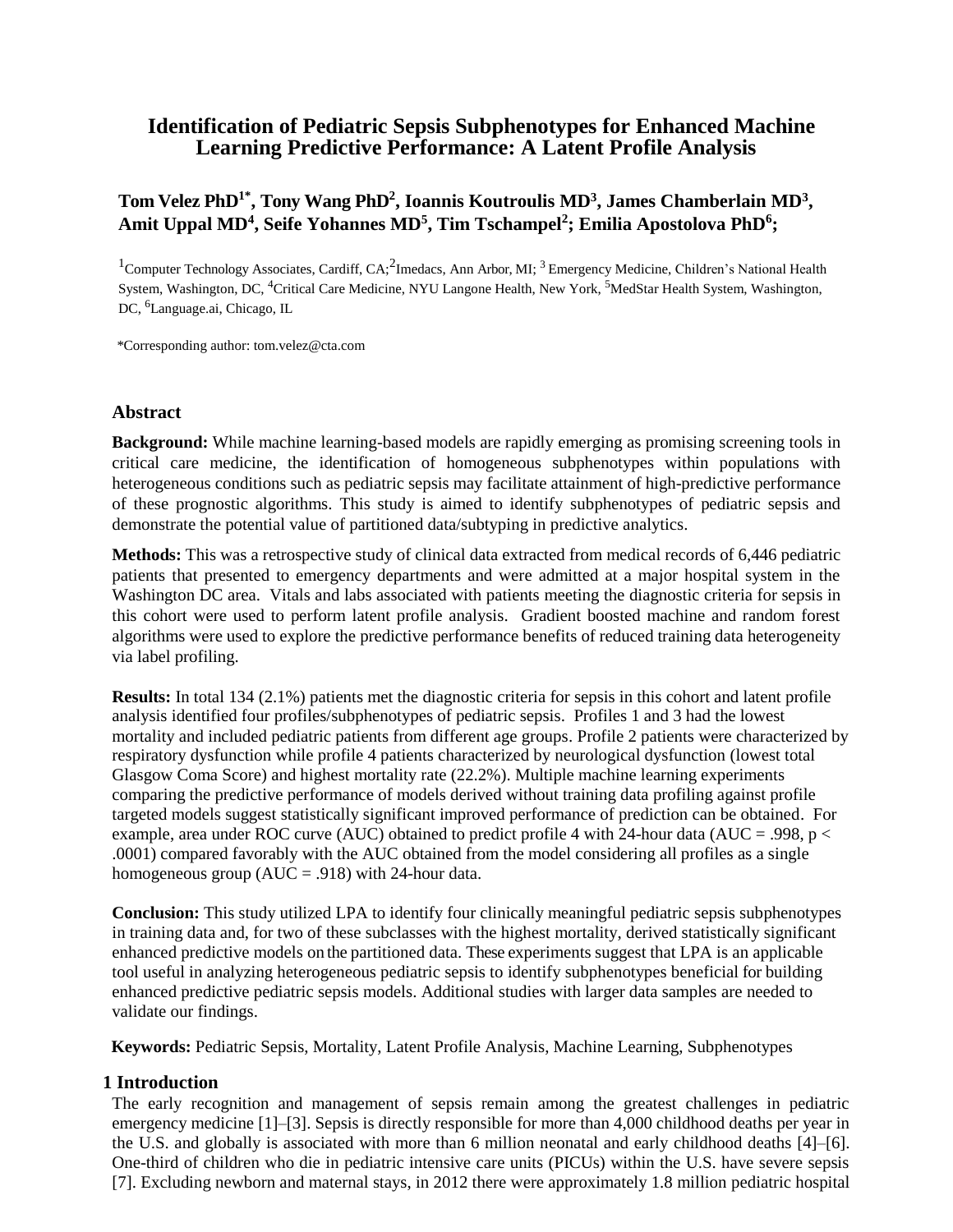# **Identification of Pediatric Sepsis Subphenotypes for Enhanced Machine Learning Predictive Performance: A Latent Profile Analysis**

# **Tom Velez PhD1\* , Tony Wang PhD<sup>2</sup> , Ioannis Koutroulis MD<sup>3</sup> , James Chamberlain MD<sup>3</sup> , Amit Uppal MD<sup>4</sup> , Seife Yohannes MD<sup>5</sup> , Tim Tschampel<sup>2</sup> ; Emilia Apostolova PhD<sup>6</sup> ;**

<sup>1</sup> Computer Technology Associates, Cardiff, CA;<sup>2</sup>Imedacs, Ann Arbor, MI;<sup>3</sup> Emergency Medicine, Children's National Health System, Washington, DC, 4Critical Care Medicine, NYU Langone Health, New York, <sup>5</sup>MedStar Health System, Washington, DC, <sup>6</sup>Language.ai, Chicago, IL

\*Corresponding author: tom.velez@cta.com

#### **Abstract**

**Background:** While machine learning-based models are rapidly emerging as promising screening tools in critical care medicine, the identification of homogeneous subphenotypes within populations with heterogeneous conditions such as pediatric sepsis may facilitate attainment of high-predictive performance of these prognostic algorithms. This study is aimed to identify subphenotypes of pediatric sepsis and demonstrate the potential value of partitioned data/subtyping in predictive analytics.

**Methods:** This was a retrospective study of clinical data extracted from medical records of 6,446 pediatric patients that presented to emergency departments and were admitted at a major hospital system in the Washington DC area. Vitals and labs associated with patients meeting the diagnostic criteria for sepsis in this cohort were used to perform latent profile analysis. Gradient boosted machine and random forest algorithms were used to explore the predictive performance benefits of reduced training data heterogeneity via label profiling.

**Results:** In total 134 (2.1%) patients met the diagnostic criteria for sepsis in this cohort and latent profile analysis identified four profiles/subphenotypes of pediatric sepsis. Profiles 1 and 3 had the lowest mortality and included pediatric patients from different age groups. Profile 2 patients were characterized by respiratory dysfunction while profile 4 patients characterized by neurological dysfunction (lowest total Glasgow Coma Score) and highest mortality rate (22.2%). Multiple machine learning experiments comparing the predictive performance of models derived without training data profiling against profile targeted models suggest statistically significant improved performance of prediction can be obtained. For example, area under ROC curve (AUC) obtained to predict profile 4 with 24-hour data (AUC = .998, p < .0001) compared favorably with the AUC obtained from the model considering all profiles as a single homogeneous group ( $AUC = .918$ ) with 24-hour data.

**Conclusion:** This study utilized LPA to identify four clinically meaningful pediatric sepsis subphenotypes in training data and, for two of these subclasses with the highest mortality, derived statistically significant enhanced predictive models on the partitioned data. These experiments suggest that LPA is an applicable tool useful in analyzing heterogeneous pediatric sepsis to identify subphenotypes beneficial for building enhanced predictive pediatric sepsis models. Additional studies with larger data samples are needed to validate our findings.

 **Keywords:** Pediatric Sepsis, Mortality, Latent Profile Analysis, Machine Learning, Subphenotypes

# **1 Introduction**

The early recognition and management of sepsis remain among the greatest challenges in pediatric emergency medicine [1]–[3]. Sepsis is directly responsible for more than 4,000 childhood deaths per year in the U.S. and globally is associated with more than 6 million neonatal and early childhood deaths [4]–[6]. One-third of children who die in pediatric intensive care units (PICUs) within the U.S. have severe sepsis [7]. Excluding newborn and maternal stays, in 2012 there were approximately 1.8 million pediatric hospital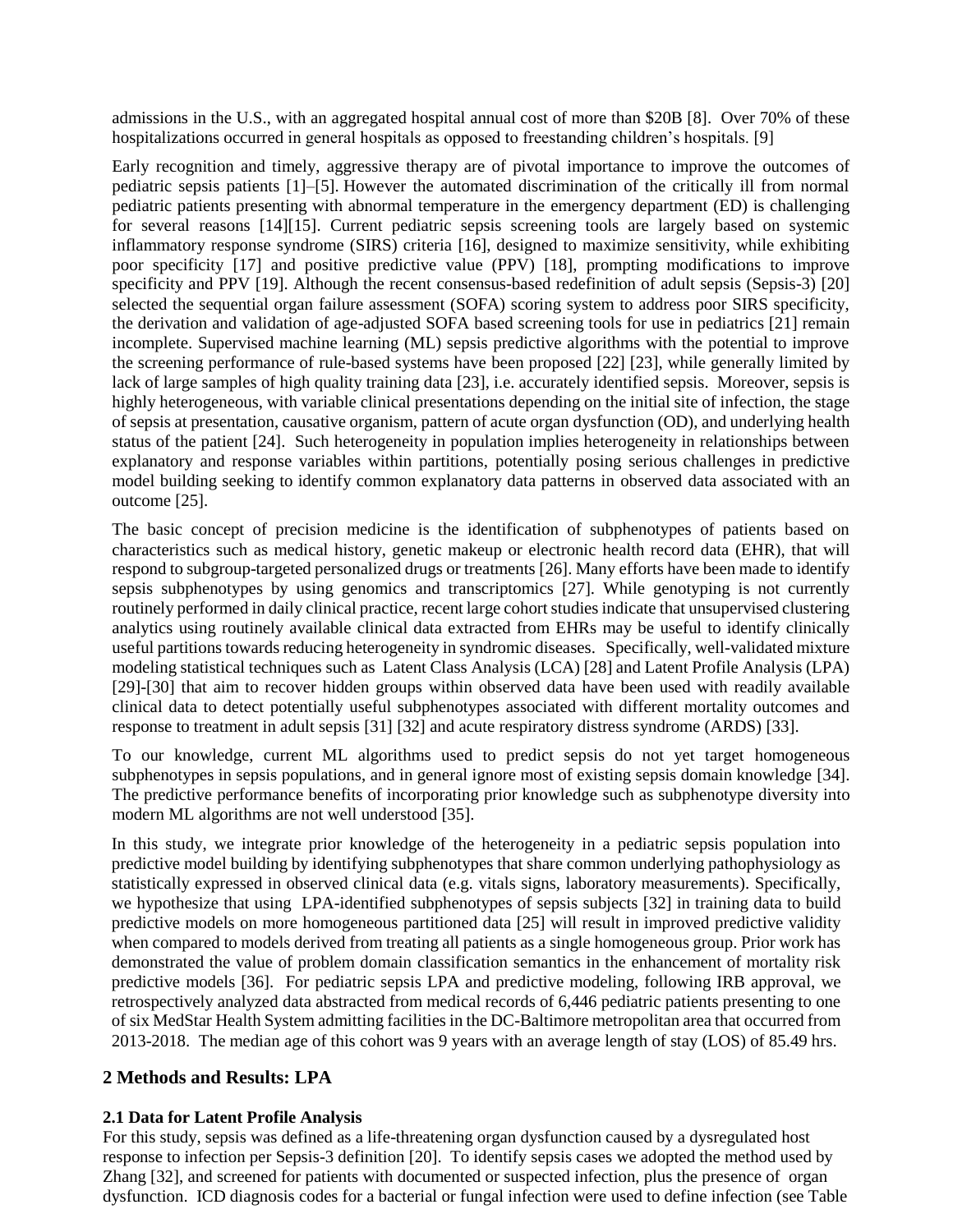admissions in the U.S., with an aggregated hospital annual cost of more than \$20B [8]. Over 70% of these hospitalizations occurred in general hospitals as opposed to freestanding children's hospitals. [9]

Early recognition and timely, aggressive therapy are of pivotal importance to improve the outcomes of pediatric sepsis patients [1]–[5]. However the automated discrimination of the critically ill from normal pediatric patients presenting with abnormal temperature in the emergency department (ED) is challenging for several reasons [14][15]. Current pediatric sepsis screening tools are largely based on systemic inflammatory response syndrome (SIRS) criteria [16], designed to maximize sensitivity, while exhibiting poor specificity [17] and positive predictive value (PPV) [18], prompting modifications to improve specificity and PPV [19]. Although the recent consensus-based redefinition of adult sepsis (Sepsis-3) [20] selected the sequential organ failure assessment (SOFA) scoring system to address poor SIRS specificity, the derivation and validation of age-adjusted SOFA based screening tools for use in pediatrics [21] remain incomplete. Supervised machine learning (ML) sepsis predictive algorithms with the potential to improve the screening performance of rule-based systems have been proposed [22] [23], while generally limited by lack of large samples of high quality training data [23], i.e. accurately identified sepsis. Moreover, sepsis is highly heterogeneous, with variable clinical presentations depending on the initial site of infection, the stage of sepsis at presentation, causative organism, pattern of acute organ dysfunction (OD), and underlying health status of the patient [24]. Such heterogeneity in population implies heterogeneity in relationships between explanatory and response variables within partitions, potentially posing serious challenges in predictive model building seeking to identify common explanatory data patterns in observed data associated with an outcome [25].

The basic concept of precision medicine is the identification of subphenotypes of patients based on characteristics such as medical history, genetic makeup or electronic health record data (EHR), that will respond to subgroup-targeted personalized drugs or treatments [26]. Many efforts have been made to identify sepsis subphenotypes by using genomics and transcriptomics [27]. While genotyping is not currently routinely performed in daily clinical practice, recent large cohort studies indicate that unsupervised clustering analytics using routinely available clinical data extracted from EHRs may be useful to identify clinically useful partitions towards reducing heterogeneity in syndromic diseases. Specifically, well-validated mixture modeling statistical techniques such as Latent Class Analysis (LCA) [28] and Latent Profile Analysis (LPA) [29]-[30] that aim to recover hidden groups within observed data have been used with readily available clinical data to detect potentially useful subphenotypes associated with different mortality outcomes and response to treatment in adult sepsis [31] [32] and acute respiratory distress syndrome (ARDS) [33].

To our knowledge, current ML algorithms used to predict sepsis do not yet target homogeneous subphenotypes in sepsis populations, and in general ignore most of existing sepsis domain knowledge [34]. The predictive performance benefits of incorporating prior knowledge such as subphenotype diversity into modern ML algorithms are not well understood [35].

In this study, we integrate prior knowledge of the heterogeneity in a pediatric sepsis population into predictive model building by identifying subphenotypes that share common underlying pathophysiology as statistically expressed in observed clinical data (e.g. vitals signs, laboratory measurements). Specifically, we hypothesize that using LPA-identified subphenotypes of sepsis subjects [32] in training data to build predictive models on more homogeneous partitioned data [25] will result in improved predictive validity when compared to models derived from treating all patients as a single homogeneous group. Prior work has demonstrated the value of problem domain classification semantics in the enhancement of mortality risk predictive models [36]. For pediatric sepsis LPA and predictive modeling, following IRB approval, we retrospectively analyzed data abstracted from medical records of 6,446 pediatric patients presenting to one of six MedStar Health System admitting facilities in the DC-Baltimore metropolitan area that occurred from 2013-2018. The median age of this cohort was 9 years with an average length of stay (LOS) of 85.49 hrs.

# **2 Methods and Results: LPA**

# **2.1 Data for Latent Profile Analysis**

For this study, sepsis was defined as a life-threatening organ dysfunction caused by a dysregulated host response to infection per Sepsis-3 definition [20]. To identify sepsis cases we adopted the method used by Zhang [32], and screened for patients with documented or suspected infection, plus the presence of organ dysfunction. ICD diagnosis codes for a bacterial or fungal infection were used to define infection (see Table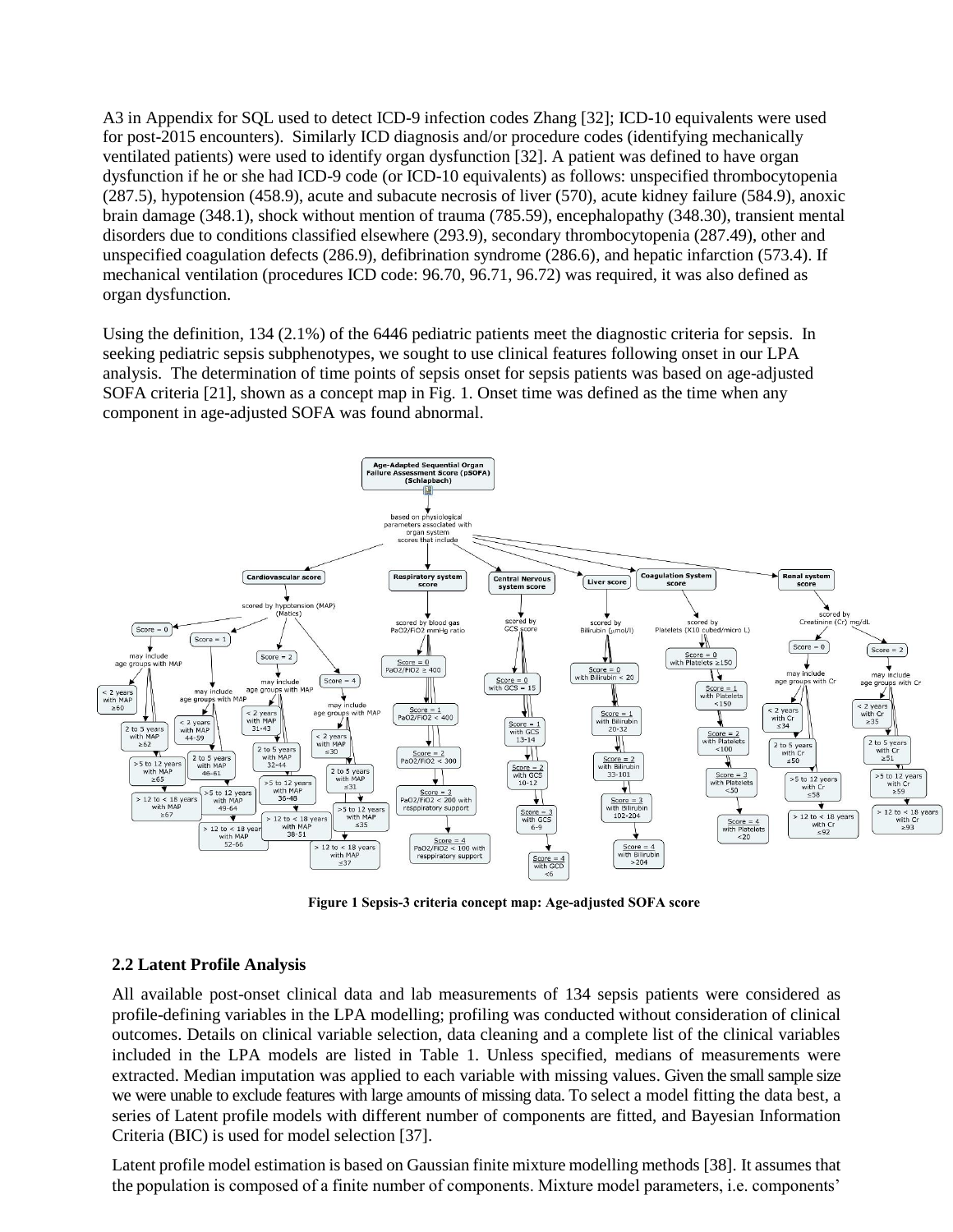A3 in Appendix for SQL used to detect ICD-9 infection codes Zhang [32]; ICD-10 equivalents were used for post-2015 encounters). Similarly ICD diagnosis and/or procedure codes (identifying mechanically ventilated patients) were used to identify organ dysfunction [32]. A patient was defined to have organ dysfunction if he or she had ICD-9 code (or ICD-10 equivalents) as follows: unspecified thrombocytopenia (287.5), hypotension (458.9), acute and subacute necrosis of liver (570), acute kidney failure (584.9), anoxic brain damage (348.1), shock without mention of trauma (785.59), encephalopathy (348.30), transient mental disorders due to conditions classified elsewhere (293.9), secondary thrombocytopenia (287.49), other and unspecified coagulation defects (286.9), defibrination syndrome (286.6), and hepatic infarction (573.4). If mechanical ventilation (procedures ICD code: 96.70, 96.71, 96.72) was required, it was also defined as organ dysfunction.

Using the definition, 134 (2.1%) of the 6446 pediatric patients meet the diagnostic criteria for sepsis. In seeking pediatric sepsis subphenotypes, we sought to use clinical features following onset in our LPA analysis. The determination of time points of sepsis onset for sepsis patients was based on age-adjusted SOFA criteria [21], shown as a concept map in Fig. 1. Onset time was defined as the time when any component in age-adjusted SOFA was found abnormal.



**Figure 1 Sepsis-3 criteria concept map: Age-adjusted SOFA score**

# **2.2 Latent Profile Analysis**

All available post-onset clinical data and lab measurements of 134 sepsis patients were considered as profile-defining variables in the LPA modelling; profiling was conducted without consideration of clinical outcomes. Details on clinical variable selection, data cleaning and a complete list of the clinical variables included in the LPA models are listed in Table 1. Unless specified, medians of measurements were extracted. Median imputation was applied to each variable with missing values. Given the small sample size we were unable to exclude features with large amounts of missing data. To select a model fitting the data best, a series of Latent profile models with different number of components are fitted, and Bayesian Information Criteria (BIC) is used for model selection [37].

Latent profile model estimation is based on Gaussian finite mixture modelling methods [38]. It assumes that the population is composed of a finite number of components. Mixture model parameters, i.e. components'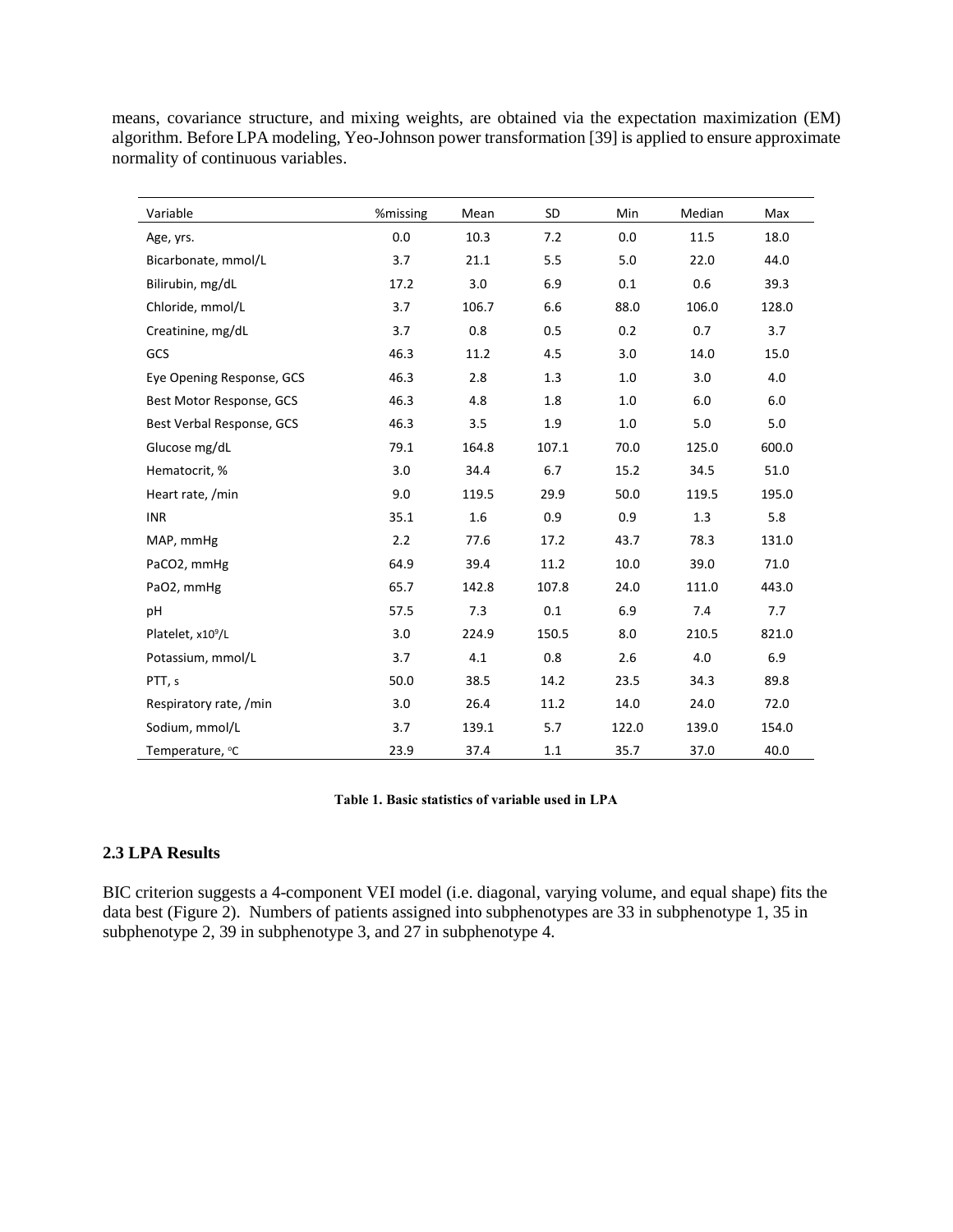means, covariance structure, and mixing weights, are obtained via the expectation maximization (EM) algorithm. Before LPA modeling, Yeo-Johnson power transformation [39] is applied to ensure approximate normality of continuous variables.

| Variable                      | %missing | Mean  | <b>SD</b> | Min   | Median | Max     |
|-------------------------------|----------|-------|-----------|-------|--------|---------|
| Age, yrs.                     | 0.0      | 10.3  | 7.2       | 0.0   | 11.5   | 18.0    |
| Bicarbonate, mmol/L           | 3.7      | 21.1  | 5.5       | 5.0   | 22.0   | 44.0    |
| Bilirubin, mg/dL              | 17.2     | 3.0   | 6.9       | 0.1   | 0.6    | 39.3    |
| Chloride, mmol/L              | 3.7      | 106.7 | 6.6       | 88.0  | 106.0  | 128.0   |
| Creatinine, mg/dL             | 3.7      | 0.8   | 0.5       | 0.2   | 0.7    | 3.7     |
| GCS                           | 46.3     | 11.2  | 4.5       | 3.0   | 14.0   | 15.0    |
| Eye Opening Response, GCS     | 46.3     | 2.8   | 1.3       | 1.0   | 3.0    | 4.0     |
| Best Motor Response, GCS      | 46.3     | 4.8   | 1.8       | 1.0   | 6.0    | 6.0     |
| Best Verbal Response, GCS     | 46.3     | 3.5   | 1.9       | 1.0   | 5.0    | $5.0\,$ |
| Glucose mg/dL                 | 79.1     | 164.8 | 107.1     | 70.0  | 125.0  | 600.0   |
| Hematocrit, %                 | 3.0      | 34.4  | 6.7       | 15.2  | 34.5   | 51.0    |
| Heart rate, /min              | 9.0      | 119.5 | 29.9      | 50.0  | 119.5  | 195.0   |
| <b>INR</b>                    | 35.1     | 1.6   | 0.9       | 0.9   | 1.3    | 5.8     |
| MAP, mmHg                     | 2.2      | 77.6  | 17.2      | 43.7  | 78.3   | 131.0   |
| PaCO2, mmHg                   | 64.9     | 39.4  | 11.2      | 10.0  | 39.0   | 71.0    |
| PaO2, mmHg                    | 65.7     | 142.8 | 107.8     | 24.0  | 111.0  | 443.0   |
| рH                            | 57.5     | 7.3   | 0.1       | 6.9   | 7.4    | 7.7     |
| Platelet, x10 <sup>9</sup> /L | 3.0      | 224.9 | 150.5     | 8.0   | 210.5  | 821.0   |
| Potassium, mmol/L             | 3.7      | 4.1   | 0.8       | 2.6   | 4.0    | 6.9     |
| PTT, s                        | 50.0     | 38.5  | 14.2      | 23.5  | 34.3   | 89.8    |
| Respiratory rate, /min        | 3.0      | 26.4  | 11.2      | 14.0  | 24.0   | 72.0    |
| Sodium, mmol/L                | 3.7      | 139.1 | 5.7       | 122.0 | 139.0  | 154.0   |
| Temperature, °C               | 23.9     | 37.4  | 1.1       | 35.7  | 37.0   | 40.0    |

#### **Table 1. Basic statistics of variable used in LPA**

# **2.3 LPA Results**

BIC criterion suggests a 4-component VEI model (i.e. diagonal, varying volume, and equal shape) fits the data best (Figure 2). Numbers of patients assigned into subphenotypes are 33 in subphenotype 1, 35 in subphenotype 2, 39 in subphenotype 3, and 27 in subphenotype 4.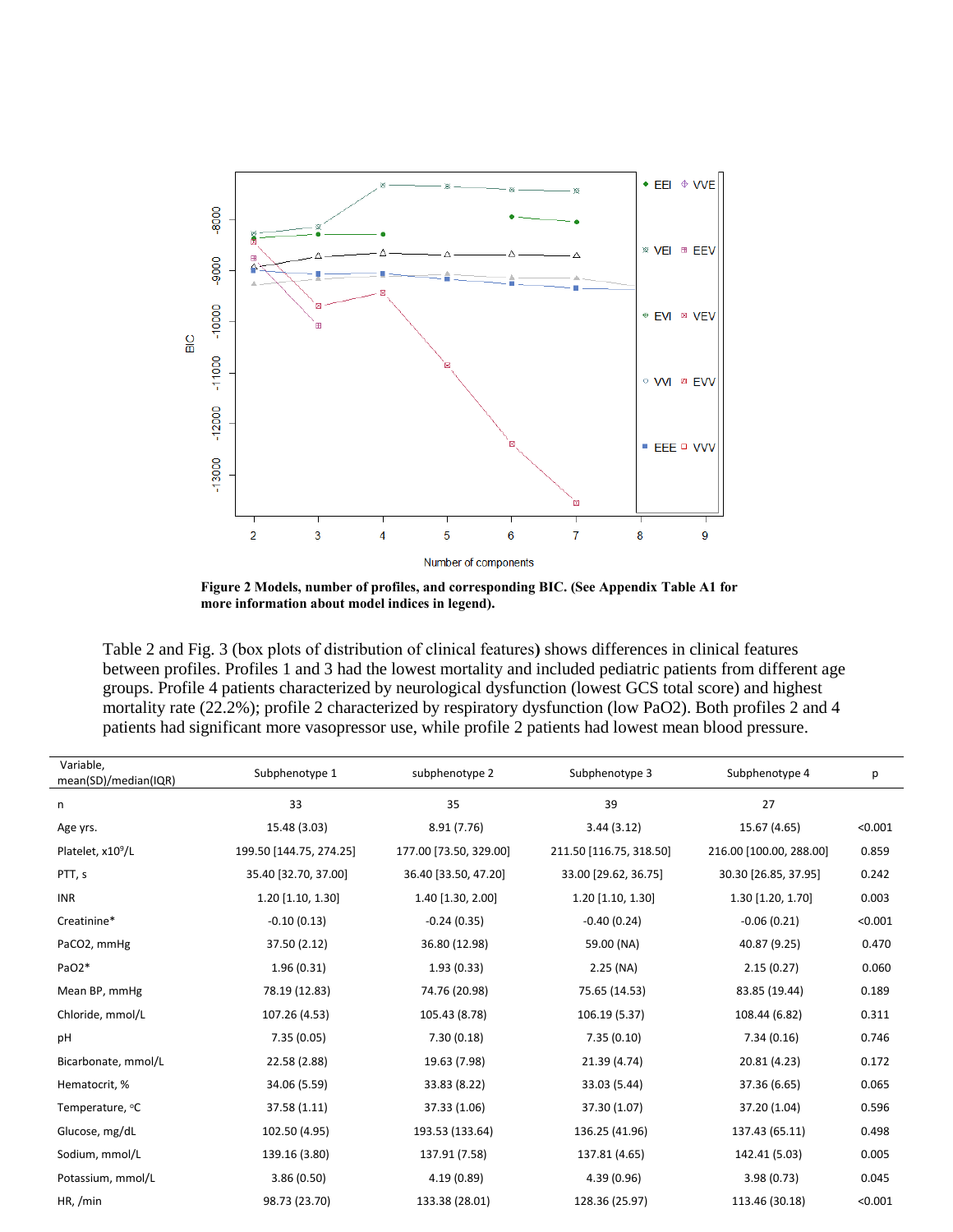

**Figure 2 Models, number of profiles, and corresponding BIC. (See Appendix Table A1 for more information about model indices in legend).**

Table 2 and Fig. 3 (box plots of distribution of clinical features**)** shows differences in clinical features between profiles. Profiles 1 and 3 had the lowest mortality and included pediatric patients from different age groups. Profile 4 patients characterized by neurological dysfunction (lowest GCS total score) and highest mortality rate (22.2%); profile 2 characterized by respiratory dysfunction (low PaO2). Both profiles 2 and 4 patients had significant more vasopressor use, while profile 2 patients had lowest mean blood pressure.

| Variable,<br>mean(SD)/median(IQR) | Subphenotype 1          | subphenotype 2         | Subphenotype 3          | Subphenotype 4          | р       |
|-----------------------------------|-------------------------|------------------------|-------------------------|-------------------------|---------|
| n                                 | 33                      | 35                     | 39                      | 27                      |         |
| Age yrs.                          | 15.48 (3.03)            | 8.91(7.76)             | 3.44(3.12)              | 15.67 (4.65)            | < 0.001 |
| Platelet, x10 <sup>9</sup> /L     | 199.50 [144.75, 274.25] | 177.00 [73.50, 329.00] | 211.50 [116.75, 318.50] | 216.00 [100.00, 288.00] | 0.859   |
| PTT, s                            | 35.40 [32.70, 37.00]    | 36.40 [33.50, 47.20]   | 33.00 [29.62, 36.75]    | 30.30 [26.85, 37.95]    | 0.242   |
| <b>INR</b>                        | 1.20 [1.10, 1.30]       | 1.40 [1.30, 2.00]      | 1.20 [1.10, 1.30]       | 1.30 [1.20, 1.70]       | 0.003   |
| Creatinine*                       | $-0.10(0.13)$           | $-0.24(0.35)$          | $-0.40(0.24)$           | $-0.06(0.21)$           | < 0.001 |
| PaCO2, mmHg                       | 37.50 (2.12)            | 36.80 (12.98)          | 59.00 (NA)              | 40.87 (9.25)            | 0.470   |
| PaO2*                             | 1.96(0.31)              | 1.93(0.33)             | $2.25$ (NA)             | 2.15(0.27)              | 0.060   |
| Mean BP, mmHg                     | 78.19 (12.83)           | 74.76 (20.98)          | 75.65 (14.53)           | 83.85 (19.44)           | 0.189   |
| Chloride, mmol/L                  | 107.26 (4.53)           | 105.43 (8.78)          | 106.19 (5.37)           | 108.44 (6.82)           | 0.311   |
| pH                                | 7.35(0.05)              | 7.30(0.18)             | 7.35(0.10)              | 7.34(0.16)              | 0.746   |
| Bicarbonate, mmol/L               | 22.58 (2.88)            | 19.63 (7.98)           | 21.39 (4.74)            | 20.81 (4.23)            | 0.172   |
| Hematocrit, %                     | 34.06 (5.59)            | 33.83 (8.22)           | 33.03 (5.44)            | 37.36 (6.65)            | 0.065   |
| Temperature, °C                   | 37.58 (1.11)            | 37.33 (1.06)           | 37.30 (1.07)            | 37.20 (1.04)            | 0.596   |
| Glucose, mg/dL                    | 102.50 (4.95)           | 193.53 (133.64)        | 136.25 (41.96)          | 137.43 (65.11)          | 0.498   |
| Sodium, mmol/L                    | 139.16 (3.80)           | 137.91 (7.58)          | 137.81 (4.65)           | 142.41 (5.03)           | 0.005   |
| Potassium, mmol/L                 | 3.86(0.50)              | 4.19(0.89)             | 4.39(0.96)              | 3.98(0.73)              | 0.045   |
| HR, /min                          | 98.73 (23.70)           | 133.38 (28.01)         | 128.36 (25.97)          | 113.46 (30.18)          | < 0.001 |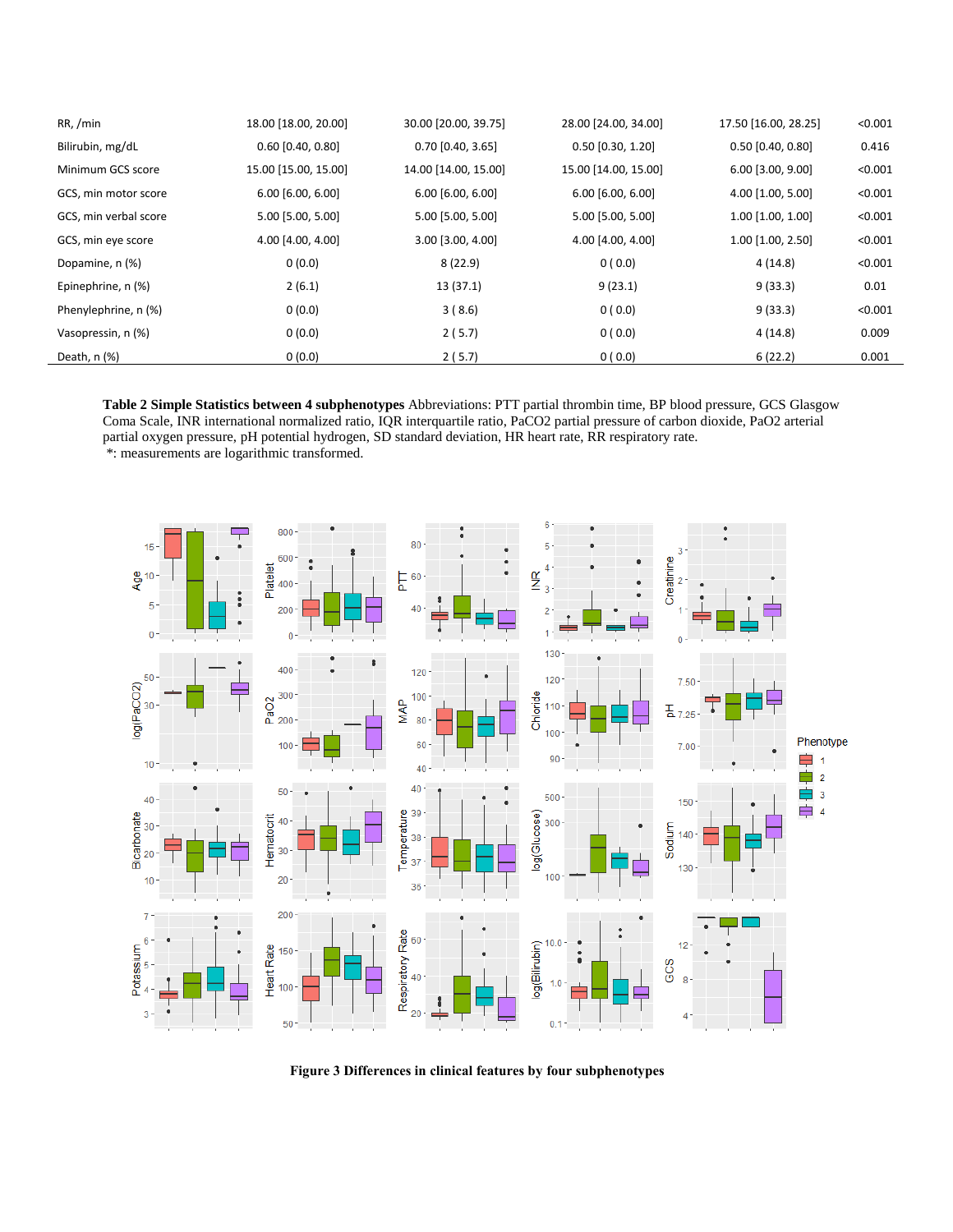| RR, /min              | 18.00 [18.00, 20.00] | 30.00 [20.00, 39.75] | 28.00 [24.00, 34.00] | 17.50 [16.00, 28.25] | < 0.001 |
|-----------------------|----------------------|----------------------|----------------------|----------------------|---------|
| Bilirubin, mg/dL      | $0.60$ [0.40, 0.80]  | $0.70$ [0.40, 3.65]  | $0.50$ [0.30, 1.20]  | $0.50$ [0.40, 0.80]  | 0.416   |
| Minimum GCS score     | 15.00 [15.00, 15.00] | 14.00 [14.00, 15.00] | 15.00 [14.00, 15.00] | 6.00 [3.00, 9.00]    | < 0.001 |
| GCS, min motor score  | 6.00 [6.00, 6.00]    | 6.00 [6.00, 6.00]    | 6.00 [6.00, 6.00]    | 4.00 [1.00, 5.00]    | < 0.001 |
| GCS, min verbal score | 5.00 [5.00, 5.00]    | 5.00 [5.00, 5.00]    | 5.00 [5.00, 5.00]    | 1.00 [1.00, 1.00]    | < 0.001 |
| GCS, min eye score    | 4.00 [4.00, 4.00]    | 3.00 [3.00, 4.00]    | 4.00 [4.00, 4.00]    | 1.00 [1.00, 2.50]    | < 0.001 |
| Dopamine, n (%)       | 0(0.0)               | 8(22.9)              | 0(0.0)               | 4(14.8)              | < 0.001 |
| Epinephrine, n (%)    | 2(6.1)               | 13 (37.1)            | 9(23.1)              | 9(33.3)              | 0.01    |
| Phenylephrine, n (%)  | 0(0.0)               | 3(8.6)               | 0(0.0)               | 9(33.3)              | < 0.001 |
| Vasopressin, n (%)    | 0(0.0)               | 2(5.7)               | 0(0.0)               | 4(14.8)              | 0.009   |
| Death, n (%)          | 0(0.0)               | 2(5.7)               | 0(0.0)               | 6(22.2)              | 0.001   |

**Table 2 Simple Statistics between 4 subphenotypes** Abbreviations: PTT partial thrombin time, BP blood pressure, GCS Glasgow Coma Scale, INR international normalized ratio, IQR interquartile ratio, PaCO2 partial pressure of carbon dioxide, PaO2 arterial partial oxygen pressure, pH potential hydrogen, SD standard deviation, HR heart rate, RR respiratory rate. \*: measurements are logarithmic transformed.



**Figure 3 Differences in clinical features by four subphenotypes**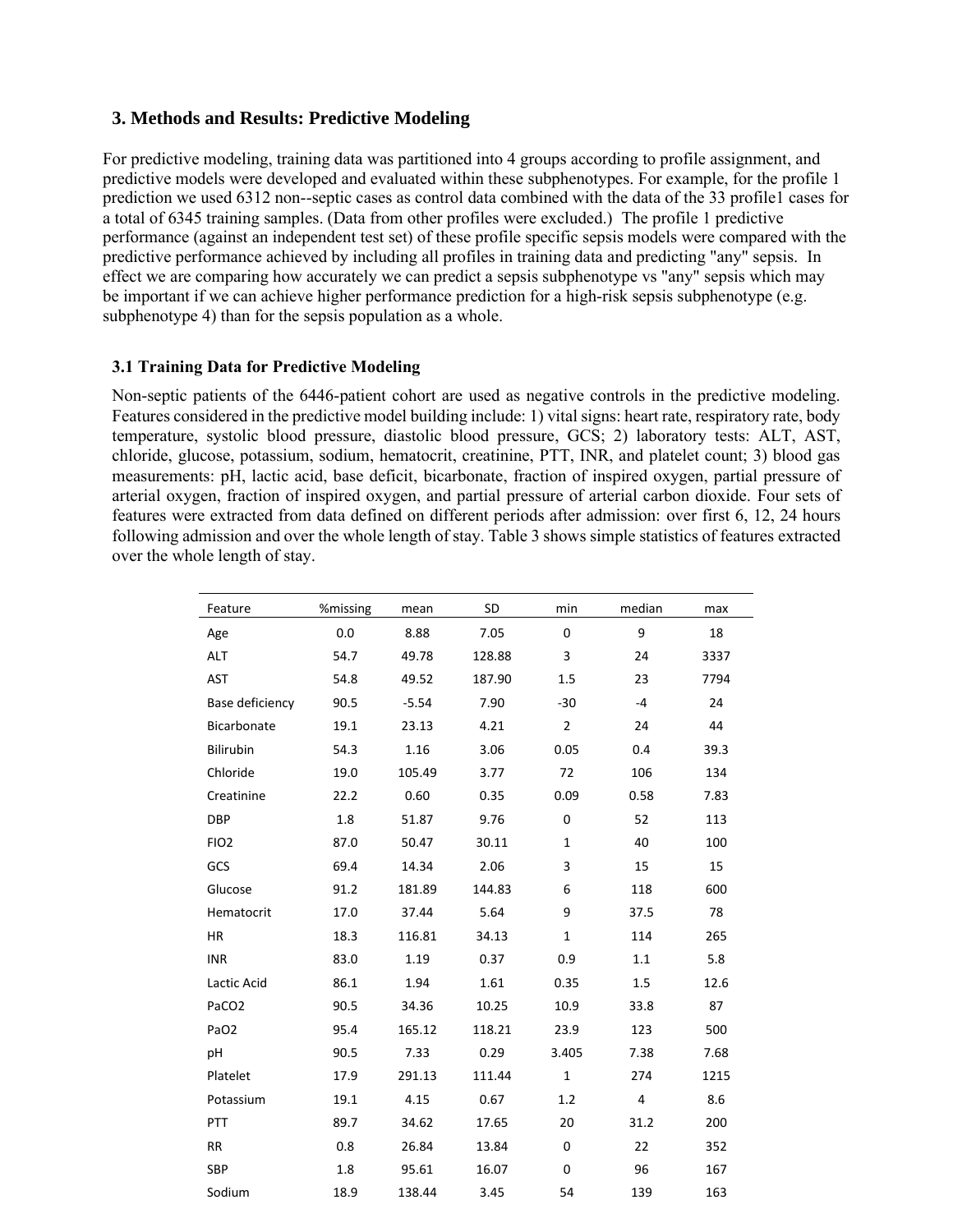# **3. Methods and Results: Predictive Modeling**

For predictive modeling, training data was partitioned into 4 groups according to profile assignment, and predictive models were developed and evaluated within these subphenotypes. For example, for the profile 1 prediction we used 6312 non--septic cases as control data combined with the data of the 33 profile1 cases for a total of 6345 training samples. (Data from other profiles were excluded.) The profile 1 predictive performance (against an independent test set) of these profile specific sepsis models were compared with the predictive performance achieved by including all profiles in training data and predicting "any" sepsis. In effect we are comparing how accurately we can predict a sepsis subphenotype vs "any" sepsis which may be important if we can achieve higher performance prediction for a high-risk sepsis subphenotype (e.g. subphenotype 4) than for the sepsis population as a whole.

# **3.1 Training Data for Predictive Modeling**

Non-septic patients of the 6446-patient cohort are used as negative controls in the predictive modeling. Features considered in the predictive model building include: 1) vital signs: heart rate, respiratory rate, body temperature, systolic blood pressure, diastolic blood pressure, GCS; 2) laboratory tests: ALT, AST, chloride, glucose, potassium, sodium, hematocrit, creatinine, PTT, INR, and platelet count; 3) blood gas measurements: pH, lactic acid, base deficit, bicarbonate, fraction of inspired oxygen, partial pressure of arterial oxygen, fraction of inspired oxygen, and partial pressure of arterial carbon dioxide. Four sets of features were extracted from data defined on different periods after admission: over first 6, 12, 24 hours following admission and over the whole length of stay. Table 3 shows simple statistics of features extracted over the whole length of stay.

| Feature           | %missing | mean    | SD     | min            | median | max  |
|-------------------|----------|---------|--------|----------------|--------|------|
| Age               | 0.0      | 8.88    | 7.05   | 0              | 9      | 18   |
| ALT               | 54.7     | 49.78   | 128.88 | 3              | 24     | 3337 |
| AST               | 54.8     | 49.52   | 187.90 | 1.5            | 23     | 7794 |
| Base deficiency   | 90.5     | $-5.54$ | 7.90   | $-30$          | $-4$   | 24   |
| Bicarbonate       | 19.1     | 23.13   | 4.21   | $\overline{2}$ | 24     | 44   |
| Bilirubin         | 54.3     | 1.16    | 3.06   | 0.05           | 0.4    | 39.3 |
| Chloride          | 19.0     | 105.49  | 3.77   | 72             | 106    | 134  |
| Creatinine        | 22.2     | 0.60    | 0.35   | 0.09           | 0.58   | 7.83 |
| <b>DBP</b>        | 1.8      | 51.87   | 9.76   | 0              | 52     | 113  |
| FIO <sub>2</sub>  | 87.0     | 50.47   | 30.11  | $\mathbf{1}$   | 40     | 100  |
| GCS               | 69.4     | 14.34   | 2.06   | 3              | 15     | 15   |
| Glucose           | 91.2     | 181.89  | 144.83 | 6              | 118    | 600  |
| Hematocrit        | 17.0     | 37.44   | 5.64   | 9              | 37.5   | 78   |
| <b>HR</b>         | 18.3     | 116.81  | 34.13  | $\mathbf 1$    | 114    | 265  |
| <b>INR</b>        | 83.0     | 1.19    | 0.37   | 0.9            | 1.1    | 5.8  |
| Lactic Acid       | 86.1     | 1.94    | 1.61   | 0.35           | 1.5    | 12.6 |
| PaCO <sub>2</sub> | 90.5     | 34.36   | 10.25  | 10.9           | 33.8   | 87   |
| PaO <sub>2</sub>  | 95.4     | 165.12  | 118.21 | 23.9           | 123    | 500  |
| pH                | 90.5     | 7.33    | 0.29   | 3.405          | 7.38   | 7.68 |
| Platelet          | 17.9     | 291.13  | 111.44 | $\mathbf{1}$   | 274    | 1215 |
| Potassium         | 19.1     | 4.15    | 0.67   | 1.2            | 4      | 8.6  |
| <b>PTT</b>        | 89.7     | 34.62   | 17.65  | 20             | 31.2   | 200  |
| <b>RR</b>         | 0.8      | 26.84   | 13.84  | 0              | 22     | 352  |
| SBP               | 1.8      | 95.61   | 16.07  | 0              | 96     | 167  |
| Sodium            | 18.9     | 138.44  | 3.45   | 54             | 139    | 163  |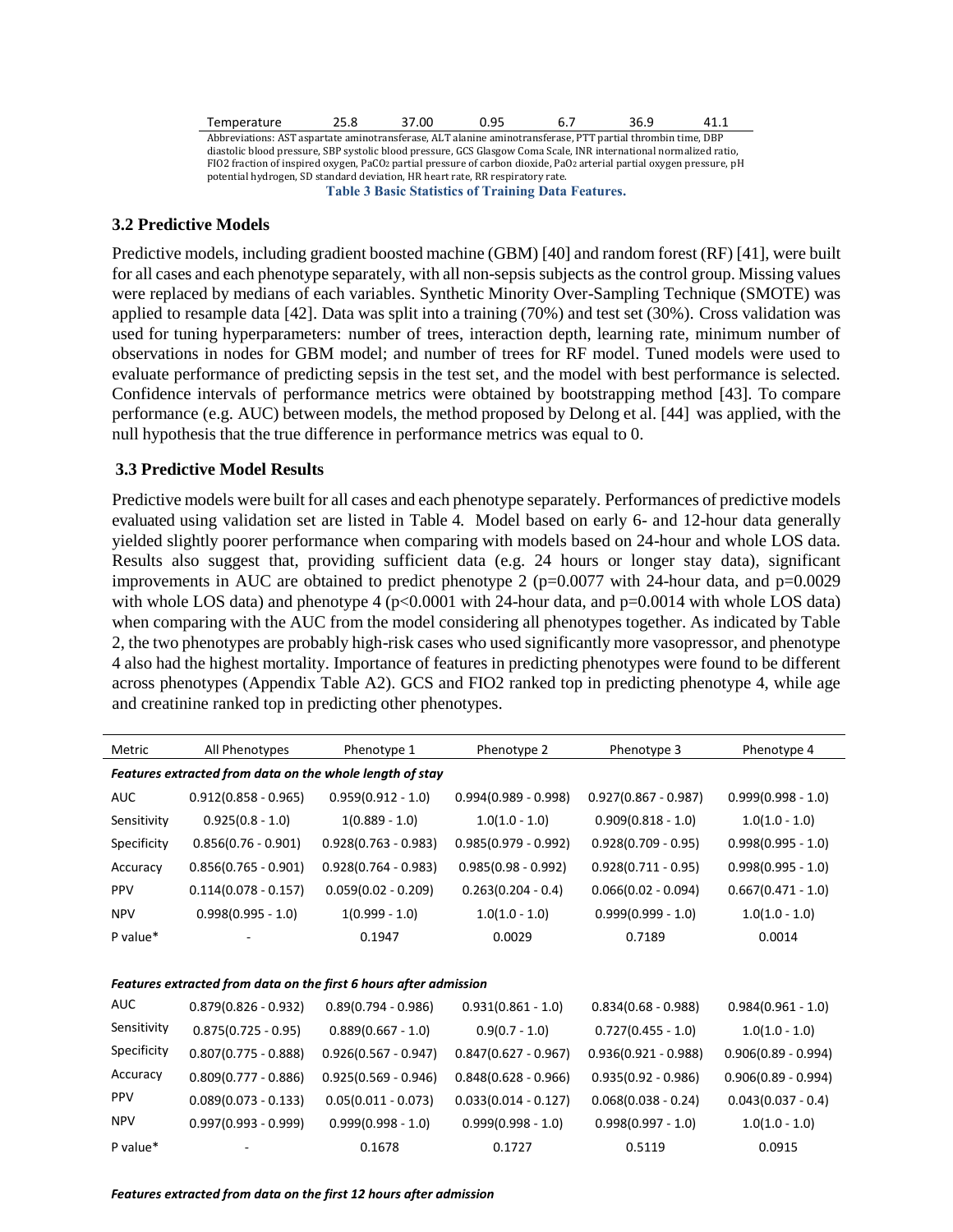| Temperature                                                                                                 | 25.8 | 37.00 | 0.95                  |  | 36.9 | 41.1 |  |  |
|-------------------------------------------------------------------------------------------------------------|------|-------|-----------------------|--|------|------|--|--|
| Abbreviations: AST aspartate aminotransferase, ALT alanine aminotransferase, PTT partial thrombin time, DBP |      |       |                       |  |      |      |  |  |
| .                                                                                                           |      |       | <b>COCO</b><br>$\sim$ |  |      |      |  |  |

diastolic blood pressure, SBP systolic blood pressure, GCS Glasgow Coma Scale, INR international normalized ratio, FIO2 fraction of inspired oxygen, PaCO2 partial pressure of carbon dioxide, PaO2 arterial partial oxygen pressure, pH potential hydrogen, SD standard deviation, HR heart rate, RR respiratory rate. **Table 3 Basic Statistics of Training Data Features.** 

#### **3.2 Predictive Models**

Predictive models, including gradient boosted machine (GBM) [40] and random forest (RF) [41], were built for all cases and each phenotype separately, with all non-sepsis subjects as the control group. Missing values were replaced by medians of each variables. Synthetic Minority Over-Sampling Technique (SMOTE) was applied to resample data [42]. Data was split into a training (70%) and test set (30%). Cross validation was used for tuning hyperparameters: number of trees, interaction depth, learning rate, minimum number of observations in nodes for GBM model; and number of trees for RF model. Tuned models were used to evaluate performance of predicting sepsis in the test set, and the model with best performance is selected. Confidence intervals of performance metrics were obtained by bootstrapping method [43]. To compare performance (e.g. AUC) between models, the method proposed by Delong et al. [44] was applied, with the null hypothesis that the true difference in performance metrics was equal to 0.

#### **3.3 Predictive Model Results**

Predictive models were built for all cases and each phenotype separately. Performances of predictive models evaluated using validation set are listed in Table 4. Model based on early 6- and 12-hour data generally yielded slightly poorer performance when comparing with models based on 24-hour and whole LOS data. Results also suggest that, providing sufficient data (e.g. 24 hours or longer stay data), significant improvements in AUC are obtained to predict phenotype 2 ( $p=0.0077$  with 24-hour data, and  $p=0.0029$ with whole LOS data) and phenotype 4 ( $p<0.0001$  with 24-hour data, and  $p=0.0014$  with whole LOS data) when comparing with the AUC from the model considering all phenotypes together. As indicated by Table 2, the two phenotypes are probably high-risk cases who used significantly more vasopressor, and phenotype 4 also had the highest mortality. Importance of features in predicting phenotypes were found to be different across phenotypes (Appendix Table A2). GCS and FIO2 ranked top in predicting phenotype 4, while age and creatinine ranked top in predicting other phenotypes.

| Metric                                                   | All Phenotypes         | Phenotype 1                                                       | Phenotype 2            | Phenotype 3            | Phenotype 4           |  |  |  |  |
|----------------------------------------------------------|------------------------|-------------------------------------------------------------------|------------------------|------------------------|-----------------------|--|--|--|--|
| Features extracted from data on the whole length of stay |                        |                                                                   |                        |                        |                       |  |  |  |  |
| <b>AUC</b>                                               | $0.912(0.858 - 0.965)$ | $0.959(0.912 - 1.0)$                                              | $0.994(0.989 - 0.998)$ | $0.927(0.867 - 0.987)$ | $0.999(0.998 - 1.0)$  |  |  |  |  |
| Sensitivity                                              | $0.925(0.8 - 1.0)$     | $1(0.889 - 1.0)$                                                  | $1.0(1.0 - 1.0)$       | $0.909(0.818 - 1.0)$   | $1.0(1.0 - 1.0)$      |  |  |  |  |
| Specificity                                              | $0.856(0.76 - 0.901)$  | $0.928(0.763 - 0.983)$                                            | $0.985(0.979 - 0.992)$ | $0.928(0.709 - 0.95)$  | $0.998(0.995 - 1.0)$  |  |  |  |  |
| Accuracy                                                 | $0.856(0.765 - 0.901)$ | $0.928(0.764 - 0.983)$                                            | $0.985(0.98 - 0.992)$  | $0.928(0.711 - 0.95)$  | $0.998(0.995 - 1.0)$  |  |  |  |  |
| <b>PPV</b>                                               | $0.114(0.078 - 0.157)$ | $0.059(0.02 - 0.209)$                                             | $0.263(0.204 - 0.4)$   | $0.066(0.02 - 0.094)$  | $0.667(0.471 - 1.0)$  |  |  |  |  |
| <b>NPV</b>                                               | $0.998(0.995 - 1.0)$   | $1(0.999 - 1.0)$                                                  | $1.0(1.0 - 1.0)$       | $0.999(0.999 - 1.0)$   | $1.0(1.0 - 1.0)$      |  |  |  |  |
| P value*                                                 |                        | 0.1947                                                            | 0.0029                 | 0.7189                 | 0.0014                |  |  |  |  |
|                                                          |                        |                                                                   |                        |                        |                       |  |  |  |  |
|                                                          |                        | Features extracted from data on the first 6 hours after admission |                        |                        |                       |  |  |  |  |
| AUC                                                      | $0.879(0.826 - 0.932)$ | $0.89(0.794 - 0.986)$                                             | $0.931(0.861 - 1.0)$   | $0.834(0.68 - 0.988)$  | $0.984(0.961 - 1.0)$  |  |  |  |  |
| Sensitivity                                              | $0.875(0.725 - 0.95)$  | $0.889(0.667 - 1.0)$                                              | $0.9(0.7 - 1.0)$       | $0.727(0.455 - 1.0)$   | $1.0(1.0 - 1.0)$      |  |  |  |  |
| Specificity                                              | $0.807(0.775 - 0.888)$ | $0.926(0.567 - 0.947)$                                            | $0.847(0.627 - 0.967)$ | $0.936(0.921 - 0.988)$ | $0.906(0.89 - 0.994)$ |  |  |  |  |
| Accuracy                                                 | $0.809(0.777 - 0.886)$ | $0.925(0.569 - 0.946)$                                            | $0.848(0.628 - 0.966)$ | $0.935(0.92 - 0.986)$  | $0.906(0.89 - 0.994)$ |  |  |  |  |
| <b>PPV</b>                                               | $0.089(0.073 - 0.133)$ | $0.05(0.011 - 0.073)$                                             | $0.033(0.014 - 0.127)$ | $0.068(0.038 - 0.24)$  | $0.043(0.037 - 0.4)$  |  |  |  |  |
| <b>NPV</b>                                               | $0.997(0.993 - 0.999)$ | $0.999(0.998 - 1.0)$                                              | $0.999(0.998 - 1.0)$   | $0.998(0.997 - 1.0)$   | $1.0(1.0 - 1.0)$      |  |  |  |  |
| P value*                                                 |                        | 0.1678                                                            | 0.1727                 | 0.5119                 | 0.0915                |  |  |  |  |

*Features extracted from data on the first 12 hours after admission*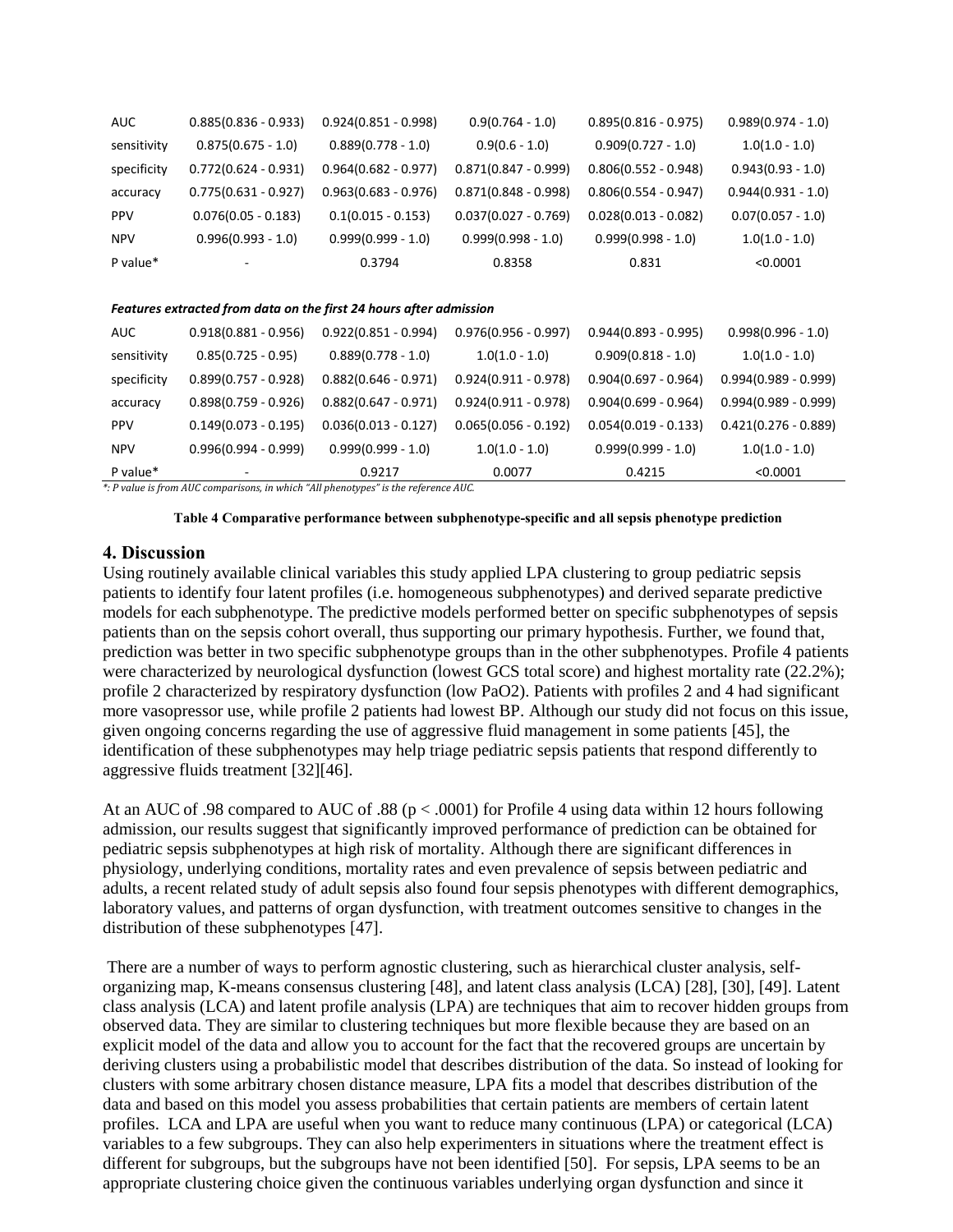| <b>AUC</b>  | $0.885(0.836 - 0.933)$ | $0.924(0.851 - 0.998)$ | $0.9(0.764 - 1.0)$     | $0.895(0.816 - 0.975)$ | $0.989(0.974 - 1.0)$ |
|-------------|------------------------|------------------------|------------------------|------------------------|----------------------|
| sensitivity | $0.875(0.675 - 1.0)$   | $0.889(0.778 - 1.0)$   | $0.9(0.6 - 1.0)$       | $0.909(0.727 - 1.0)$   | $1.0(1.0 - 1.0)$     |
| specificity | $0.772(0.624 - 0.931)$ | $0.964(0.682 - 0.977)$ | $0.871(0.847 - 0.999)$ | $0.806(0.552 - 0.948)$ | $0.943(0.93 - 1.0)$  |
| accuracy    | $0.775(0.631 - 0.927)$ | $0.963(0.683 - 0.976)$ | $0.871(0.848 - 0.998)$ | $0.806(0.554 - 0.947)$ | $0.944(0.931 - 1.0)$ |
| <b>PPV</b>  | $0.076(0.05 - 0.183)$  | $0.1(0.015 - 0.153)$   | $0.037(0.027 - 0.769)$ | $0.028(0.013 - 0.082)$ | $0.07(0.057 - 1.0)$  |
| <b>NPV</b>  | $0.996(0.993 - 1.0)$   | $0.999(0.999 - 1.0)$   | $0.999(0.998 - 1.0)$   | $0.999(0.998 - 1.0)$   | $1.0(1.0 - 1.0)$     |
| P value*    | ۰.                     | 0.3794                 | 0.8358                 | 0.831                  | < 0.0001             |

#### *Features extracted from data on the first 24 hours after admission*

| <b>AUC</b>  | $0.918(0.881 - 0.956)$ | $0.922(0.851 - 0.994)$ | $0.976(0.956 - 0.997)$ | $0.944(0.893 - 0.995)$ | $0.998(0.996 - 1.0)$   |
|-------------|------------------------|------------------------|------------------------|------------------------|------------------------|
| sensitivity | $0.85(0.725 - 0.95)$   | $0.889(0.778 - 1.0)$   | $1.0(1.0 - 1.0)$       | $0.909(0.818 - 1.0)$   | $1.0(1.0 - 1.0)$       |
| specificity | $0.899(0.757 - 0.928)$ | $0.882(0.646 - 0.971)$ | $0.924(0.911 - 0.978)$ | $0.904(0.697 - 0.964)$ | $0.994(0.989 - 0.999)$ |
| accuracy    | $0.898(0.759 - 0.926)$ | $0.882(0.647 - 0.971)$ | $0.924(0.911 - 0.978)$ | $0.904(0.699 - 0.964)$ | $0.994(0.989 - 0.999)$ |
| <b>PPV</b>  | $0.149(0.073 - 0.195)$ | $0.036(0.013 - 0.127)$ | $0.065(0.056 - 0.192)$ | $0.054(0.019 - 0.133)$ | $0.421(0.276 - 0.889)$ |
| <b>NPV</b>  | $0.996(0.994 - 0.999)$ | $0.999(0.999 - 1.0)$   | $1.0(1.0 - 1.0)$       | $0.999(0.999 - 1.0)$   | $1.0(1.0 - 1.0)$       |
| P value*    | -                      | 0.9217                 | 0.0077                 | 0.4215                 | < 0.0001               |

*\*: P value is from AUC comparisons, in which "All phenotypes" is the reference AUC.*

**Table 4 Comparative performance between subphenotype-specific and all sepsis phenotype prediction**

# **4. Discussion**

Using routinely available clinical variables this study applied LPA clustering to group pediatric sepsis patients to identify four latent profiles (i.e. homogeneous subphenotypes) and derived separate predictive models for each subphenotype. The predictive models performed better on specific subphenotypes of sepsis patients than on the sepsis cohort overall, thus supporting our primary hypothesis. Further, we found that, prediction was better in two specific subphenotype groups than in the other subphenotypes. Profile 4 patients were characterized by neurological dysfunction (lowest GCS total score) and highest mortality rate (22.2%); profile 2 characterized by respiratory dysfunction (low PaO2). Patients with profiles 2 and 4 had significant more vasopressor use, while profile 2 patients had lowest BP. Although our study did not focus on this issue, given ongoing concerns regarding the use of aggressive fluid management in some patients [45], the identification of these subphenotypes may help triage pediatric sepsis patients that respond differently to aggressive fluids treatment [32][46].

At an AUC of .98 compared to AUC of .88 (p < .0001) for Profile 4 using data within 12 hours following admission, our results suggest that significantly improved performance of prediction can be obtained for pediatric sepsis subphenotypes at high risk of mortality. Although there are significant differences in physiology, underlying conditions, mortality rates and even prevalence of sepsis between pediatric and adults, a recent related study of adult sepsis also found four sepsis phenotypes with different demographics, laboratory values, and patterns of organ dysfunction, with treatment outcomes sensitive to changes in the distribution of these subphenotypes [47].

There are a number of ways to perform agnostic clustering, such as hierarchical cluster analysis, selforganizing map, K-means consensus clustering [48], and latent class analysis (LCA) [28], [30], [49]. Latent class analysis (LCA) and latent profile analysis (LPA) are techniques that aim to recover hidden groups from observed data. They are similar to clustering techniques but more flexible because they are based on an explicit model of the data and allow you to account for the fact that the recovered groups are uncertain by deriving clusters using a probabilistic model that describes distribution of the data. So instead of looking for clusters with some arbitrary chosen distance measure, LPA fits a model that describes distribution of the data and based on this model you assess probabilities that certain patients are members of certain latent profiles. LCA and LPA are useful when you want to reduce many continuous (LPA) or categorical (LCA) variables to a few subgroups. They can also help experimenters in situations where the treatment effect is different for subgroups, but the subgroups have not been identified [50]. For sepsis, LPA seems to be an appropriate clustering choice given the continuous variables underlying organ dysfunction and since it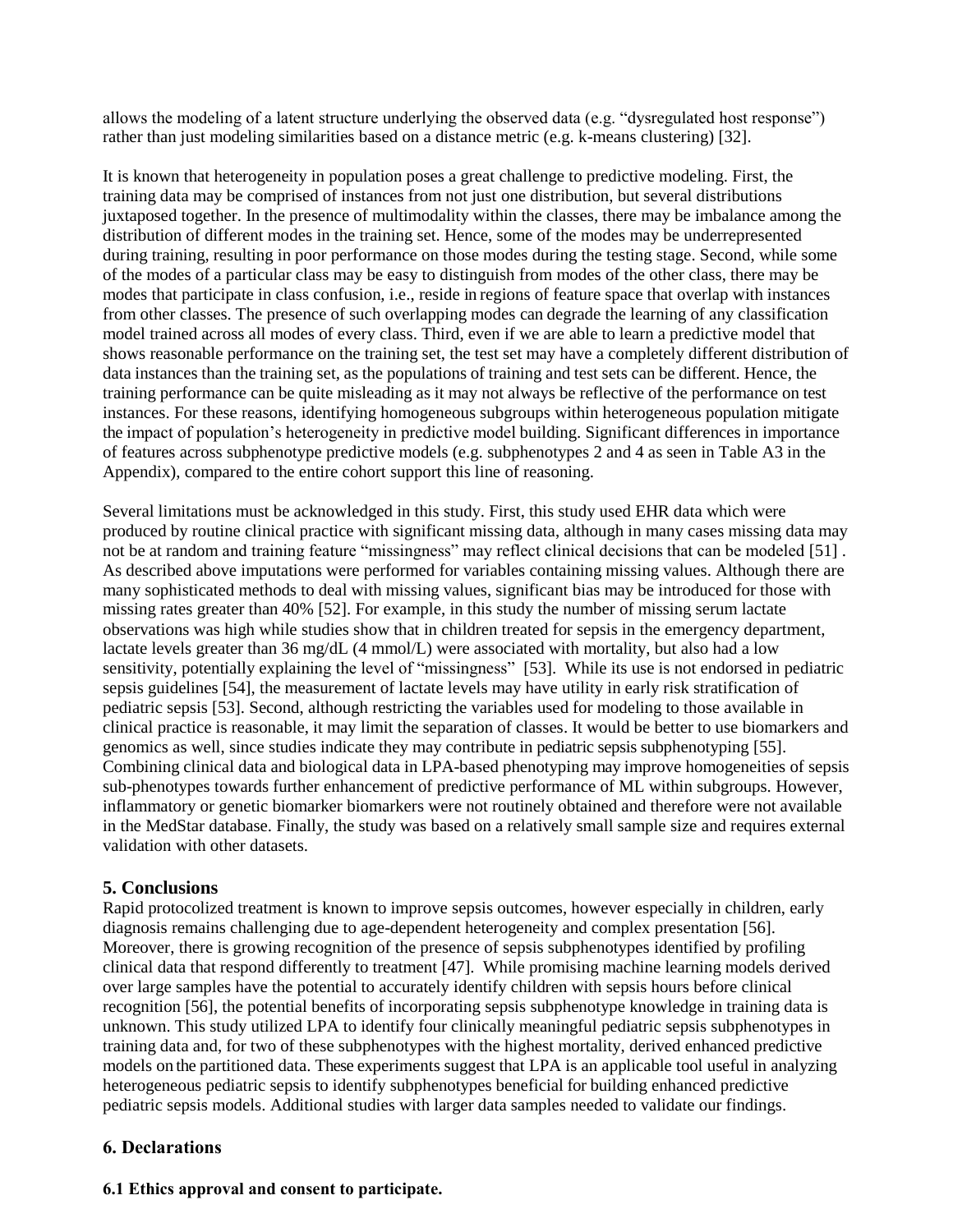allows the modeling of a latent structure underlying the observed data (e.g. "dysregulated host response") rather than just modeling similarities based on a distance metric (e.g. k-means clustering) [32].

It is known that heterogeneity in population poses a great challenge to predictive modeling. First, the training data may be comprised of instances from not just one distribution, but several distributions juxtaposed together. In the presence of multimodality within the classes, there may be imbalance among the distribution of different modes in the training set. Hence, some of the modes may be underrepresented during training, resulting in poor performance on those modes during the testing stage. Second, while some of the modes of a particular class may be easy to distinguish from modes of the other class, there may be modes that participate in class confusion, i.e., reside in regions of feature space that overlap with instances from other classes. The presence of such overlapping modes can degrade the learning of any classification model trained across all modes of every class. Third, even if we are able to learn a predictive model that shows reasonable performance on the training set, the test set may have a completely different distribution of data instances than the training set, as the populations of training and test sets can be different. Hence, the training performance can be quite misleading as it may not always be reflective of the performance on test instances. For these reasons, identifying homogeneous subgroups within heterogeneous population mitigate the impact of population's heterogeneity in predictive model building. Significant differences in importance of features across subphenotype predictive models (e.g. subphenotypes 2 and 4 as seen in Table A3 in the Appendix), compared to the entire cohort support this line of reasoning.

Several limitations must be acknowledged in this study. First, this study used EHR data which were produced by routine clinical practice with significant missing data, although in many cases missing data may not be at random and training feature "missingness" may reflect clinical decisions that can be modeled [51] . As described above imputations were performed for variables containing missing values. Although there are many sophisticated methods to deal with missing values, significant bias may be introduced for those with missing rates greater than 40% [52]. For example, in this study the number of missing serum lactate observations was high while studies show that in children treated for sepsis in the emergency department, lactate levels greater than 36 mg/dL (4 mmol/L) were associated with mortality, but also had a low sensitivity, potentially explaining the level of "missingness" [53]. While its use is not endorsed in pediatric sepsis guidelines [54], the measurement of lactate levels may have utility in early risk stratification of pediatric sepsis [53]. Second, although restricting the variables used for modeling to those available in clinical practice is reasonable, it may limit the separation of classes. It would be better to use biomarkers and genomics as well, since studies indicate they may contribute in pediatric sepsis subphenotyping [55]. Combining clinical data and biological data in LPA-based phenotyping may improve homogeneities of sepsis sub-phenotypes towards further enhancement of predictive performance of ML within subgroups. However, inflammatory or genetic biomarker biomarkers were not routinely obtained and therefore were not available in the MedStar database. Finally, the study was based on a relatively small sample size and requires external validation with other datasets.

# **5. Conclusions**

Rapid protocolized treatment is known to improve sepsis outcomes, however especially in children, early diagnosis remains challenging due to age-dependent heterogeneity and complex presentation [56]. Moreover, there is growing recognition of the presence of sepsis subphenotypes identified by profiling clinical data that respond differently to treatment [47]. While promising machine learning models derived over large samples have the potential to accurately identify children with sepsis hours before clinical recognition [56], the potential benefits of incorporating sepsis subphenotype knowledge in training data is unknown. This study utilized LPA to identify four clinically meaningful pediatric sepsis subphenotypes in training data and, for two of these subphenotypes with the highest mortality, derived enhanced predictive models on the partitioned data. These experiments suggest that LPA is an applicable tool useful in analyzing heterogeneous pediatric sepsis to identify subphenotypes beneficial for building enhanced predictive pediatric sepsis models. Additional studies with larger data samples needed to validate our findings.

# **6. Declarations**

# **6.1 Ethics approval and consent to participate.**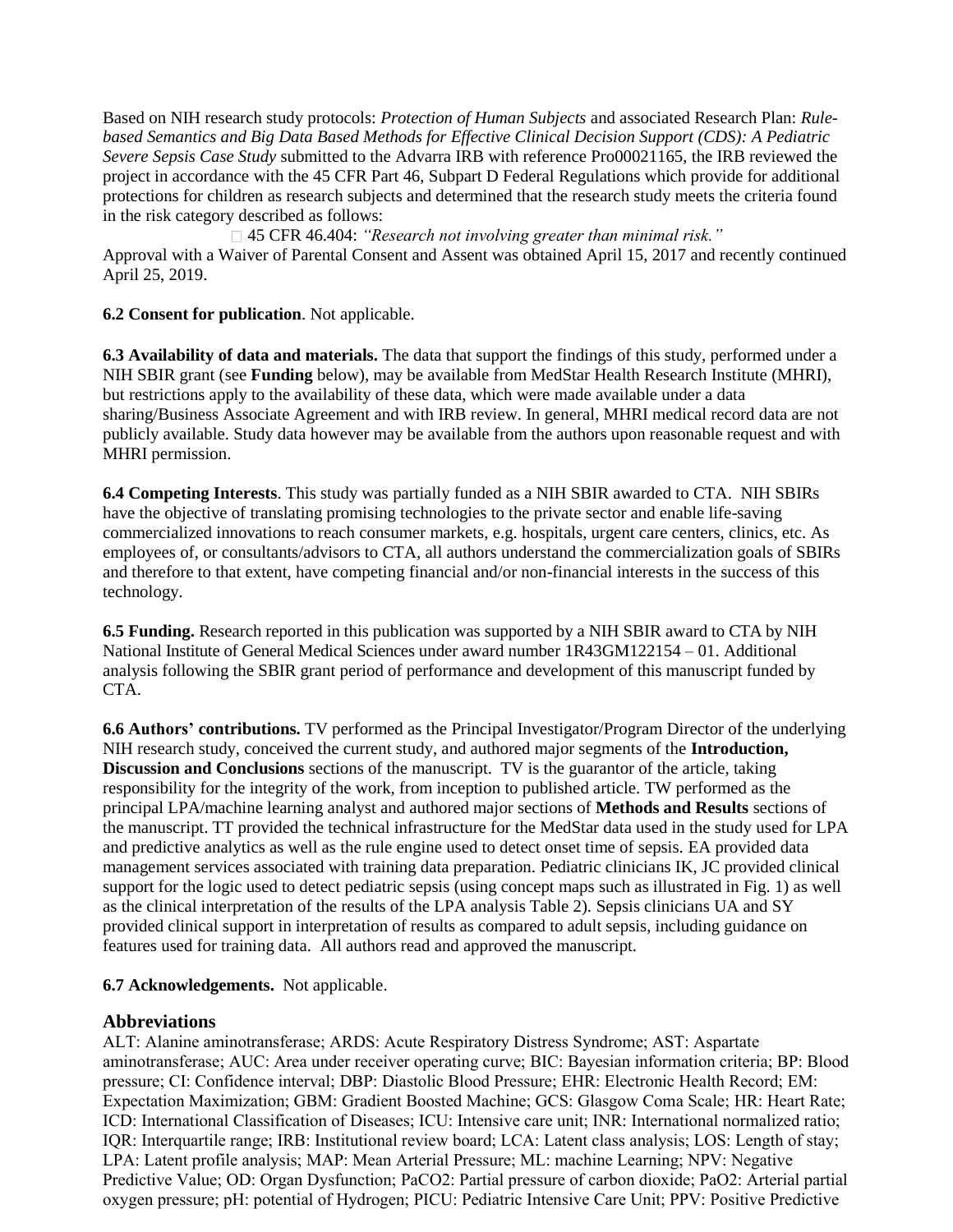Based on NIH research study protocols: *Protection of Human Subjects* and associated Research Plan: *Rulebased Semantics and Big Data Based Methods for Effective Clinical Decision Support (CDS): A Pediatric Severe Sepsis Case Study* submitted to the Advarra IRB with reference Pro00021165, the IRB reviewed the project in accordance with the 45 CFR Part 46, Subpart D Federal Regulations which provide for additional protections for children as research subjects and determined that the research study meets the criteria found in the risk category described as follows:

45 CFR 46.404: *"Research not involving greater than minimal risk."* Approval with a Waiver of Parental Consent and Assent was obtained April 15, 2017 and recently continued April 25, 2019.

**6.2 Consent for publication**. Not applicable.

**6.3 Availability of data and materials.** The data that support the findings of this study, performed under a NIH SBIR grant (see **Funding** below), may be available from MedStar Health Research Institute (MHRI), but restrictions apply to the availability of these data, which were made available under a data sharing/Business Associate Agreement and with IRB review. In general, MHRI medical record data are not publicly available. Study data however may be available from the authors upon reasonable request and with MHRI permission.

**6.4 Competing Interests**. This study was partially funded as a NIH SBIR awarded to CTA. NIH SBIRs have the objective of translating promising technologies to the private sector and enable life-saving commercialized innovations to reach consumer markets, e.g. hospitals, urgent care centers, clinics, etc. As employees of, or consultants/advisors to CTA, all authors understand the commercialization goals of SBIRs and therefore to that extent, have competing financial and/or non-financial interests in the success of this technology.

**6.5 Funding.** Research reported in this publication was supported by a NIH SBIR award to CTA by NIH National Institute of General Medical Sciences under award number 1R43GM122154 – 01. Additional analysis following the SBIR grant period of performance and development of this manuscript funded by CTA.

**6.6 Authors' contributions.** TV performed as the Principal Investigator/Program Director of the underlying NIH research study, conceived the current study, and authored major segments of the **Introduction, Discussion and Conclusions** sections of the manuscript. TV is the guarantor of the article, taking responsibility for the integrity of the work, from inception to published article. TW performed as the principal LPA/machine learning analyst and authored major sections of **Methods and Results** sections of the manuscript. TT provided the technical infrastructure for the MedStar data used in the study used for LPA and predictive analytics as well as the rule engine used to detect onset time of sepsis. EA provided data management services associated with training data preparation. Pediatric clinicians IK, JC provided clinical support for the logic used to detect pediatric sepsis (using concept maps such as illustrated in Fig. 1) as well as the clinical interpretation of the results of the LPA analysis Table 2). Sepsis clinicians UA and SY provided clinical support in interpretation of results as compared to adult sepsis, including guidance on features used for training data. All authors read and approved the manuscript.

# **6.7 Acknowledgements.** Not applicable.

# **Abbreviations**

ALT: Alanine aminotransferase; ARDS: Acute Respiratory Distress Syndrome; AST: Aspartate aminotransferase; AUC: Area under receiver operating curve; BIC: Bayesian information criteria; BP: Blood pressure; CI: Confidence interval; DBP: Diastolic Blood Pressure; EHR: Electronic Health Record; EM: Expectation Maximization; GBM: Gradient Boosted Machine; GCS: Glasgow Coma Scale; HR: Heart Rate; ICD: International Classification of Diseases; ICU: Intensive care unit; INR: International normalized ratio; IQR: Interquartile range; IRB: Institutional review board; LCA: Latent class analysis; LOS: Length of stay; LPA: Latent profile analysis; MAP: Mean Arterial Pressure; ML: machine Learning; NPV: Negative Predictive Value; OD: Organ Dysfunction; PaCO2: Partial pressure of carbon dioxide; PaO2: Arterial partial oxygen pressure; pH: potential of Hydrogen; PICU: Pediatric Intensive Care Unit; PPV: Positive Predictive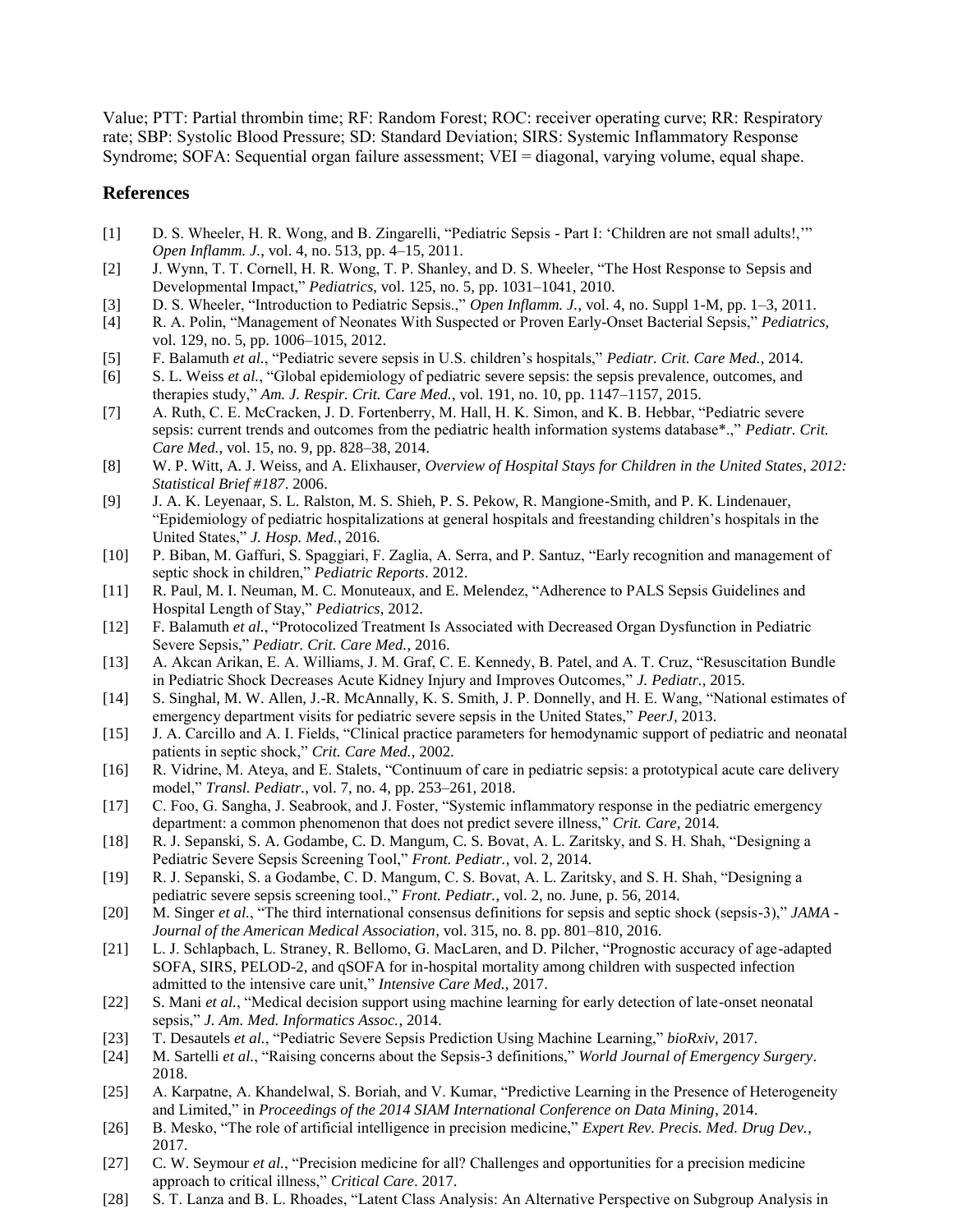Value; PTT: Partial thrombin time; RF: Random Forest; ROC: receiver operating curve; RR: Respiratory rate; SBP: Systolic Blood Pressure; SD: Standard Deviation; SIRS: Systemic Inflammatory Response Syndrome: SOFA: Sequential organ failure assessment: VEI = diagonal, varying volume, equal shape.

# **References**

- [1] D. S. Wheeler, H. R. Wong, and B. Zingarelli, "Pediatric Sepsis Part I: 'Children are not small adults!,'" *Open Inflamm. J.*, vol. 4, no. 513, pp. 4–15, 2011.
- [2] J. Wynn, T. T. Cornell, H. R. Wong, T. P. Shanley, and D. S. Wheeler, "The Host Response to Sepsis and Developmental Impact," *Pediatrics*, vol. 125, no. 5, pp. 1031–1041, 2010.
- [3] D. S. Wheeler, "Introduction to Pediatric Sepsis.," *Open Inflamm. J.*, vol. 4, no. Suppl 1-M, pp. 1–3, 2011.
- [4] R. A. Polin, "Management of Neonates With Suspected or Proven Early-Onset Bacterial Sepsis," *Pediatrics*, vol. 129, no. 5, pp. 1006–1015, 2012.
- [5] F. Balamuth *et al.*, "Pediatric severe sepsis in U.S. children's hospitals," *Pediatr. Crit. Care Med.*, 2014.
- [6] S. L. Weiss *et al.*, "Global epidemiology of pediatric severe sepsis: the sepsis prevalence, outcomes, and therapies study," *Am. J. Respir. Crit. Care Med.*, vol. 191, no. 10, pp. 1147–1157, 2015.
- [7] A. Ruth, C. E. McCracken, J. D. Fortenberry, M. Hall, H. K. Simon, and K. B. Hebbar, "Pediatric severe sepsis: current trends and outcomes from the pediatric health information systems database\*.," *Pediatr. Crit. Care Med.*, vol. 15, no. 9, pp. 828–38, 2014.
- [8] W. P. Witt, A. J. Weiss, and A. Elixhauser, *Overview of Hospital Stays for Children in the United States, 2012: Statistical Brief #187*. 2006.
- [9] J. A. K. Leyenaar, S. L. Ralston, M. S. Shieh, P. S. Pekow, R. Mangione-Smith, and P. K. Lindenauer, "Epidemiology of pediatric hospitalizations at general hospitals and freestanding children's hospitals in the United States," *J. Hosp. Med.*, 2016.
- [10] P. Biban, M. Gaffuri, S. Spaggiari, F. Zaglia, A. Serra, and P. Santuz, "Early recognition and management of septic shock in children," *Pediatric Reports*. 2012.
- [11] R. Paul, M. I. Neuman, M. C. Monuteaux, and E. Melendez, "Adherence to PALS Sepsis Guidelines and Hospital Length of Stay," *Pediatrics*, 2012.
- [12] F. Balamuth *et al.*, "Protocolized Treatment Is Associated with Decreased Organ Dysfunction in Pediatric Severe Sepsis," *Pediatr. Crit. Care Med.*, 2016.
- [13] A. Akcan Arikan, E. A. Williams, J. M. Graf, C. E. Kennedy, B. Patel, and A. T. Cruz, "Resuscitation Bundle in Pediatric Shock Decreases Acute Kidney Injury and Improves Outcomes," *J. Pediatr.*, 2015.
- [14] S. Singhal, M. W. Allen, J.-R. McAnnally, K. S. Smith, J. P. Donnelly, and H. E. Wang, "National estimates of emergency department visits for pediatric severe sepsis in the United States," *PeerJ*, 2013.
- [15] J. A. Carcillo and A. I. Fields, "Clinical practice parameters for hemodynamic support of pediatric and neonatal patients in septic shock," *Crit. Care Med.*, 2002.
- [16] R. Vidrine, M. Ateya, and E. Stalets, "Continuum of care in pediatric sepsis: a prototypical acute care delivery model," *Transl. Pediatr.*, vol. 7, no. 4, pp. 253–261, 2018.
- [17] C. Foo, G. Sangha, J. Seabrook, and J. Foster, "Systemic inflammatory response in the pediatric emergency department: a common phenomenon that does not predict severe illness," *Crit. Care*, 2014.
- [18] R. J. Sepanski, S. A. Godambe, C. D. Mangum, C. S. Bovat, A. L. Zaritsky, and S. H. Shah, "Designing a Pediatric Severe Sepsis Screening Tool," *Front. Pediatr.*, vol. 2, 2014.
- [19] R. J. Sepanski, S. a Godambe, C. D. Mangum, C. S. Bovat, A. L. Zaritsky, and S. H. Shah, "Designing a pediatric severe sepsis screening tool.," *Front. Pediatr.*, vol. 2, no. June, p. 56, 2014.
- [20] M. Singer *et al.*, "The third international consensus definitions for sepsis and septic shock (sepsis-3)," *JAMA - Journal of the American Medical Association*, vol. 315, no. 8. pp. 801–810, 2016.
- [21] L. J. Schlapbach, L. Straney, R. Bellomo, G. MacLaren, and D. Pilcher, "Prognostic accuracy of age-adapted SOFA, SIRS, PELOD-2, and qSOFA for in-hospital mortality among children with suspected infection admitted to the intensive care unit," *Intensive Care Med.*, 2017.
- [22] S. Mani *et al.*, "Medical decision support using machine learning for early detection of late-onset neonatal sepsis," *J. Am. Med. Informatics Assoc.*, 2014.
- [23] T. Desautels *et al.*, "Pediatric Severe Sepsis Prediction Using Machine Learning," *bioRxiv*, 2017.
- [24] M. Sartelli *et al.*, "Raising concerns about the Sepsis-3 definitions," *World Journal of Emergency Surgery*. 2018.
- [25] A. Karpatne, A. Khandelwal, S. Boriah, and V. Kumar, "Predictive Learning in the Presence of Heterogeneity and Limited," in *Proceedings of the 2014 SIAM International Conference on Data Mining*, 2014.
- [26] B. Mesko, "The role of artificial intelligence in precision medicine," *Expert Rev. Precis. Med. Drug Dev.*, 2017.
- [27] C. W. Seymour *et al.*, "Precision medicine for all? Challenges and opportunities for a precision medicine approach to critical illness," *Critical Care*. 2017.
- [28] S. T. Lanza and B. L. Rhoades, "Latent Class Analysis: An Alternative Perspective on Subgroup Analysis in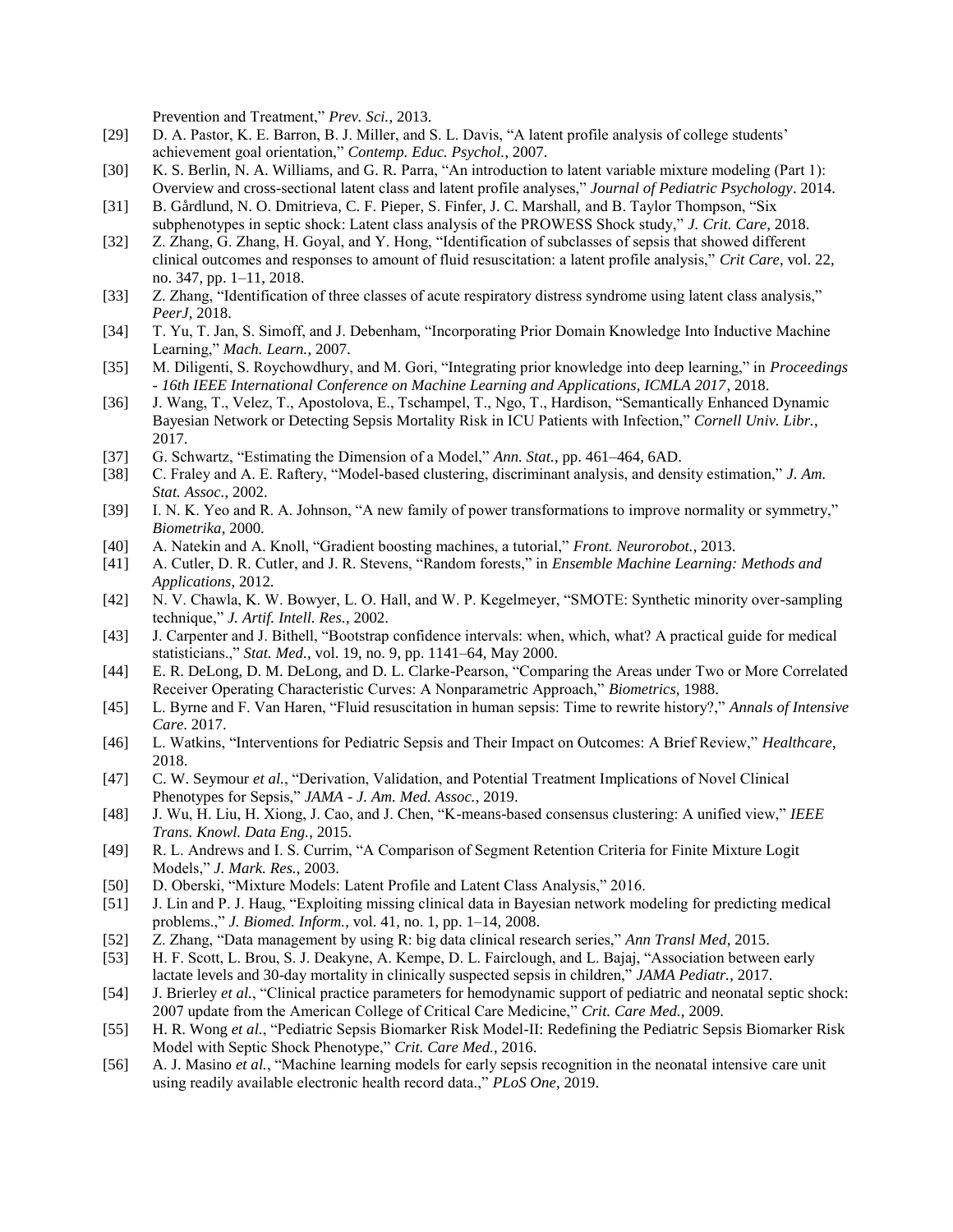Prevention and Treatment," *Prev. Sci.*, 2013.

- [29] D. A. Pastor, K. E. Barron, B. J. Miller, and S. L. Davis, "A latent profile analysis of college students' achievement goal orientation," *Contemp. Educ. Psychol.*, 2007.
- [30] K. S. Berlin, N. A. Williams, and G. R. Parra, "An introduction to latent variable mixture modeling (Part 1): Overview and cross-sectional latent class and latent profile analyses," *Journal of Pediatric Psychology*. 2014.
- [31] B. Gårdlund, N. O. Dmitrieva, C. F. Pieper, S. Finfer, J. C. Marshall, and B. Taylor Thompson, "Six subphenotypes in septic shock: Latent class analysis of the PROWESS Shock study," *J. Crit. Care*, 2018.
- [32] Z. Zhang, G. Zhang, H. Goyal, and Y. Hong, "Identification of subclasses of sepsis that showed different clinical outcomes and responses to amount of fluid resuscitation: a latent profile analysis," *Crit Care*, vol. 22, no. 347, pp. 1–11, 2018.
- [33] Z. Zhang, "Identification of three classes of acute respiratory distress syndrome using latent class analysis," *PeerJ*, 2018.
- [34] T. Yu, T. Jan, S. Simoff, and J. Debenham, "Incorporating Prior Domain Knowledge Into Inductive Machine Learning," *Mach. Learn.*, 2007.
- [35] M. Diligenti, S. Roychowdhury, and M. Gori, "Integrating prior knowledge into deep learning," in *Proceedings - 16th IEEE International Conference on Machine Learning and Applications, ICMLA 2017*, 2018.
- [36] J. Wang, T., Velez, T., Apostolova, E., Tschampel, T., Ngo, T., Hardison, "Semantically Enhanced Dynamic Bayesian Network or Detecting Sepsis Mortality Risk in ICU Patients with Infection," *Cornell Univ. Libr.*, 2017.
- [37] G. Schwartz, "Estimating the Dimension of a Model," *Ann. Stat.*, pp. 461–464, 6AD.
- [38] C. Fraley and A. E. Raftery, "Model-based clustering, discriminant analysis, and density estimation," *J. Am. Stat. Assoc.*, 2002.
- [39] I. N. K. Yeo and R. A. Johnson, "A new family of power transformations to improve normality or symmetry," *Biometrika*, 2000.
- [40] A. Natekin and A. Knoll, "Gradient boosting machines, a tutorial," *Front. Neurorobot.*, 2013.
- [41] A. Cutler, D. R. Cutler, and J. R. Stevens, "Random forests," in *Ensemble Machine Learning: Methods and Applications*, 2012.
- [42] N. V. Chawla, K. W. Bowyer, L. O. Hall, and W. P. Kegelmeyer, "SMOTE: Synthetic minority over-sampling technique," *J. Artif. Intell. Res.*, 2002.
- [43] J. Carpenter and J. Bithell, "Bootstrap confidence intervals: when, which, what? A practical guide for medical statisticians.," *Stat. Med.*, vol. 19, no. 9, pp. 1141–64, May 2000.
- [44] E. R. DeLong, D. M. DeLong, and D. L. Clarke-Pearson, "Comparing the Areas under Two or More Correlated Receiver Operating Characteristic Curves: A Nonparametric Approach," *Biometrics*, 1988.
- [45] L. Byrne and F. Van Haren, "Fluid resuscitation in human sepsis: Time to rewrite history?," *Annals of Intensive Care*. 2017.
- [46] L. Watkins, "Interventions for Pediatric Sepsis and Their Impact on Outcomes: A Brief Review," *Healthcare*, 2018.
- [47] C. W. Seymour *et al.*, "Derivation, Validation, and Potential Treatment Implications of Novel Clinical Phenotypes for Sepsis," *JAMA - J. Am. Med. Assoc.*, 2019.
- [48] J. Wu, H. Liu, H. Xiong, J. Cao, and J. Chen, "K-means-based consensus clustering: A unified view," *IEEE Trans. Knowl. Data Eng.*, 2015.
- [49] R. L. Andrews and I. S. Currim, "A Comparison of Segment Retention Criteria for Finite Mixture Logit Models," *J. Mark. Res.*, 2003.
- [50] D. Oberski, "Mixture Models: Latent Profile and Latent Class Analysis," 2016.
- [51] J. Lin and P. J. Haug, "Exploiting missing clinical data in Bayesian network modeling for predicting medical problems.," *J. Biomed. Inform.*, vol. 41, no. 1, pp. 1–14, 2008.
- [52] Z. Zhang, "Data management by using R: big data clinical research series," *Ann Transl Med*, 2015.
- [53] H. F. Scott, L. Brou, S. J. Deakyne, A. Kempe, D. L. Fairclough, and L. Bajaj, "Association between early lactate levels and 30-day mortality in clinically suspected sepsis in children," *JAMA Pediatr.*, 2017.
- [54] J. Brierley *et al.*, "Clinical practice parameters for hemodynamic support of pediatric and neonatal septic shock: 2007 update from the American College of Critical Care Medicine," *Crit. Care Med.*, 2009.
- [55] H. R. Wong *et al.*, "Pediatric Sepsis Biomarker Risk Model-II: Redefining the Pediatric Sepsis Biomarker Risk Model with Septic Shock Phenotype," *Crit. Care Med.*, 2016.
- [56] A. J. Masino *et al.*, "Machine learning models for early sepsis recognition in the neonatal intensive care unit using readily available electronic health record data.," *PLoS One*, 2019.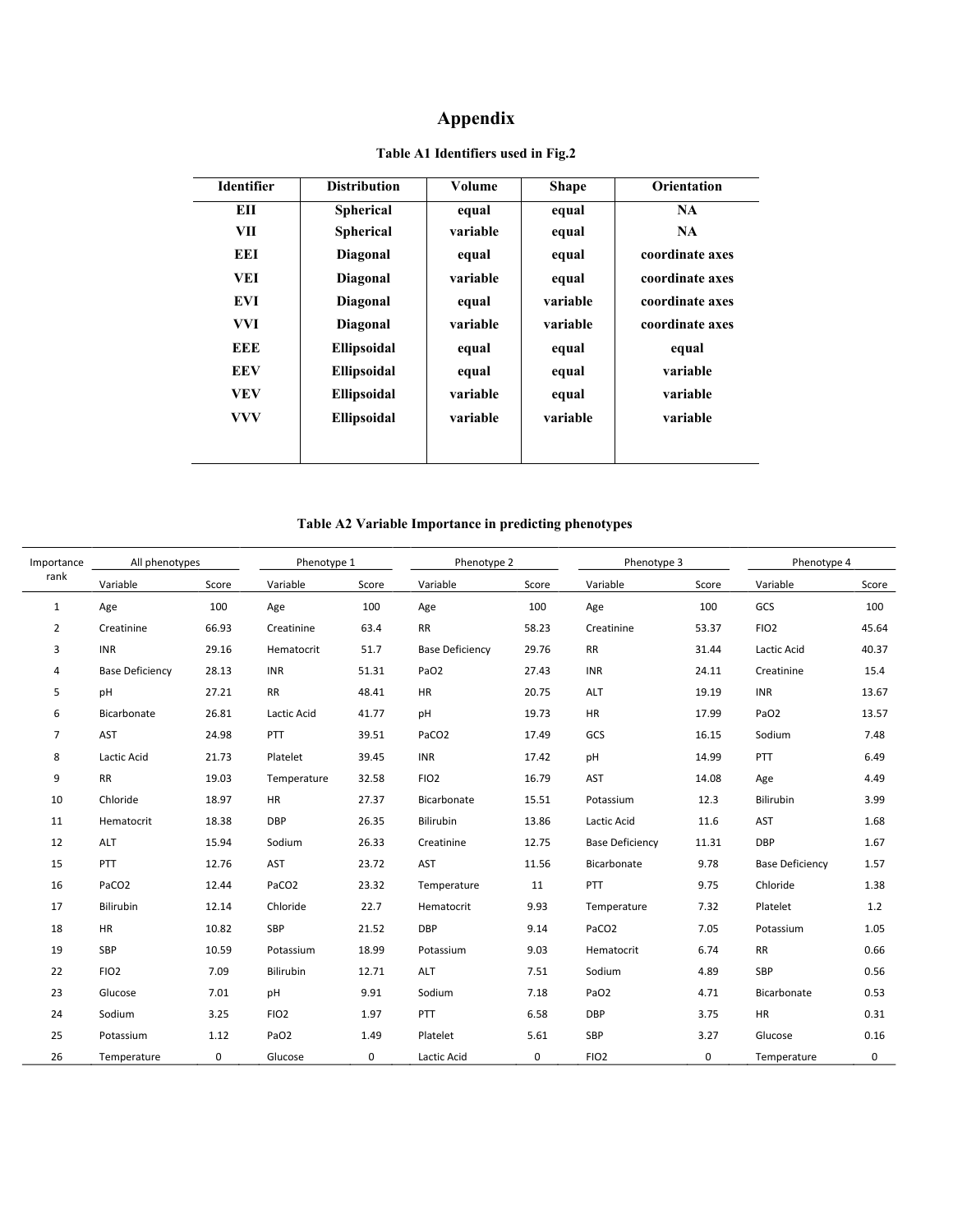# **Appendix**

| <b>Identifier</b> | <b>Distribution</b> | Volume   | <b>Shape</b> | <b>Orientation</b> |
|-------------------|---------------------|----------|--------------|--------------------|
| EH                | <b>Spherical</b>    | equal    | equal        | <b>NA</b>          |
| VII               | <b>Spherical</b>    | variable | equal        | <b>NA</b>          |
| EEI               | Diagonal            | equal    | equal        | coordinate axes    |
| VEI               | Diagonal            | variable | equal        | coordinate axes    |
| <b>EVI</b>        | Diagonal            | equal    | variable     | coordinate axes    |
| <b>VVI</b>        | Diagonal            | variable | variable     | coordinate axes    |
| EEE               | Ellipsoidal         | equal    | equal        | equal              |
| <b>EEV</b>        | <b>Ellipsoidal</b>  | equal    | equal        | variable           |
| <b>VEV</b>        | Ellipsoidal         | variable | equal        | variable           |
| <b>VVV</b>        | Ellipsoidal         | variable | variable     | variable           |
|                   |                     |          |              |                    |
|                   |                     |          |              |                    |

### **Table A1 Identifiers used in Fig.2**

### **Table A2 Variable Importance in predicting phenotypes**

| All phenotypes<br>Importance |                        | Phenotype 1 |                   |             | Phenotype 2            |             | Phenotype 3            |             | Phenotype 4            |             |
|------------------------------|------------------------|-------------|-------------------|-------------|------------------------|-------------|------------------------|-------------|------------------------|-------------|
| rank                         | Variable               | Score       | Variable          | Score       | Variable               | Score       | Variable               | Score       | Variable               | Score       |
| $\mathbf{1}$                 | Age                    | 100         | Age               | 100         | Age                    | 100         | Age                    | 100         | GCS                    | 100         |
| $\overline{2}$               | Creatinine             | 66.93       | Creatinine        | 63.4        | <b>RR</b>              | 58.23       | Creatinine             | 53.37       | FIO <sub>2</sub>       | 45.64       |
| 3                            | <b>INR</b>             | 29.16       | Hematocrit        | 51.7        | <b>Base Deficiency</b> | 29.76       | <b>RR</b>              | 31.44       | Lactic Acid            | 40.37       |
| 4                            | <b>Base Deficiency</b> | 28.13       | INR               | 51.31       | PaO <sub>2</sub>       | 27.43       | <b>INR</b>             | 24.11       | Creatinine             | 15.4        |
| 5                            | pH                     | 27.21       | <b>RR</b>         | 48.41       | HR                     | 20.75       | ALT                    | 19.19       | <b>INR</b>             | 13.67       |
| 6                            | Bicarbonate            | 26.81       | Lactic Acid       | 41.77       | pH                     | 19.73       | <b>HR</b>              | 17.99       | PaO <sub>2</sub>       | 13.57       |
| $\overline{7}$               | AST                    | 24.98       | PTT               | 39.51       | PaCO <sub>2</sub>      | 17.49       | GCS                    | 16.15       | Sodium                 | 7.48        |
| 8                            | Lactic Acid            | 21.73       | Platelet          | 39.45       | <b>INR</b>             | 17.42       | pH                     | 14.99       | PTT                    | 6.49        |
| 9                            | <b>RR</b>              | 19.03       | Temperature       | 32.58       | FIO <sub>2</sub>       | 16.79       | AST                    | 14.08       | Age                    | 4.49        |
| 10                           | Chloride               | 18.97       | HR                | 27.37       | Bicarbonate            | 15.51       | Potassium              | 12.3        | <b>Bilirubin</b>       | 3.99        |
| 11                           | Hematocrit             | 18.38       | <b>DBP</b>        | 26.35       | Bilirubin              | 13.86       | Lactic Acid            | 11.6        | <b>AST</b>             | 1.68        |
| 12                           | ALT                    | 15.94       | Sodium            | 26.33       | Creatinine             | 12.75       | <b>Base Deficiency</b> | 11.31       | DBP                    | 1.67        |
| 15                           | PTT                    | 12.76       | <b>AST</b>        | 23.72       | AST                    | 11.56       | Bicarbonate            | 9.78        | <b>Base Deficiency</b> | 1.57        |
| 16                           | PaCO <sub>2</sub>      | 12.44       | PaCO <sub>2</sub> | 23.32       | Temperature            | 11          | PTT                    | 9.75        | Chloride               | 1.38        |
| 17                           | Bilirubin              | 12.14       | Chloride          | 22.7        | Hematocrit             | 9.93        | Temperature            | 7.32        | Platelet               | 1.2         |
| 18                           | <b>HR</b>              | 10.82       | <b>SBP</b>        | 21.52       | <b>DBP</b>             | 9.14        | PaCO <sub>2</sub>      | 7.05        | Potassium              | 1.05        |
| 19                           | SBP                    | 10.59       | Potassium         | 18.99       | Potassium              | 9.03        | Hematocrit             | 6.74        | <b>RR</b>              | 0.66        |
| 22                           | FIO <sub>2</sub>       | 7.09        | Bilirubin         | 12.71       | ALT                    | 7.51        | Sodium                 | 4.89        | SBP                    | 0.56        |
| 23                           | Glucose                | 7.01        | pH                | 9.91        | Sodium                 | 7.18        | PaO <sub>2</sub>       | 4.71        | Bicarbonate            | 0.53        |
| 24                           | Sodium                 | 3.25        | FIO <sub>2</sub>  | 1.97        | PTT                    | 6.58        | <b>DBP</b>             | 3.75        | <b>HR</b>              | 0.31        |
| 25                           | Potassium              | 1.12        | PaO <sub>2</sub>  | 1.49        | Platelet               | 5.61        | SBP                    | 3.27        | Glucose                | 0.16        |
| 26                           | Temperature            | $\mathbf 0$ | Glucose           | $\mathbf 0$ | Lactic Acid            | $\mathbf 0$ | FIO <sub>2</sub>       | $\mathbf 0$ | Temperature            | $\mathbf 0$ |